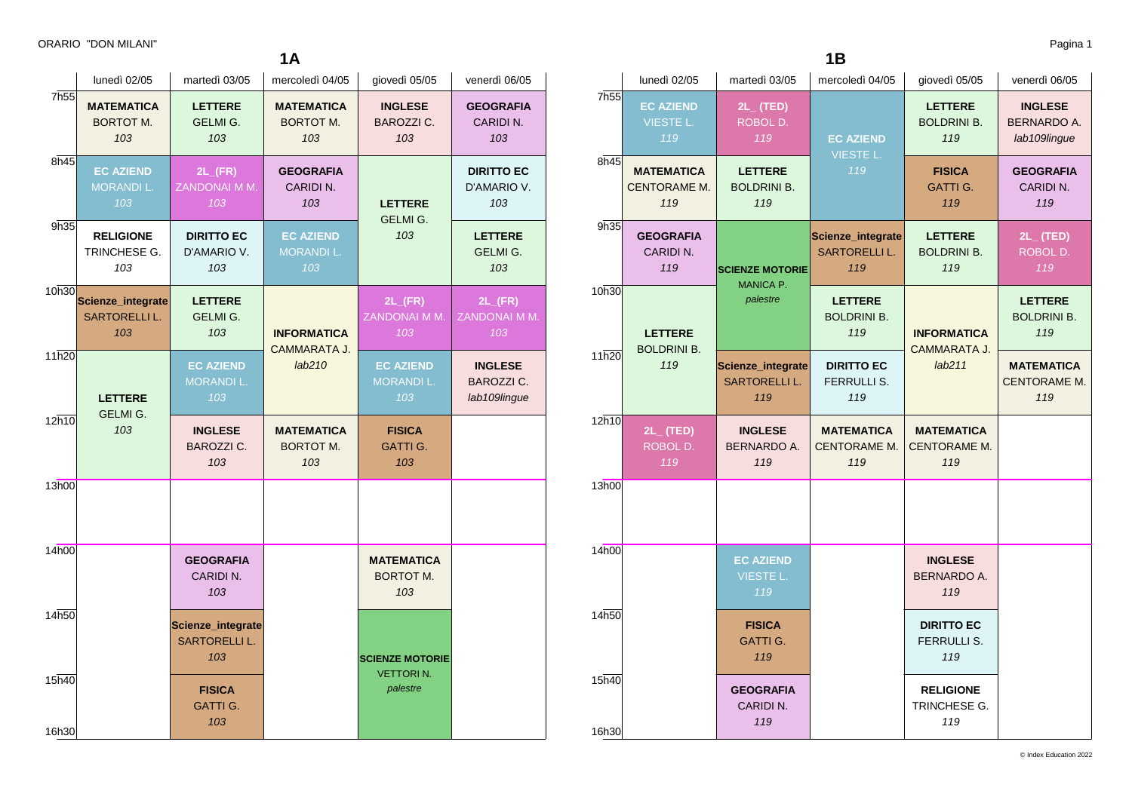**1A**

|                  | lunedì 02/05                                     | martedì 03/05                                    | mercoledì 04/05                              | giovedì 05/05                                | venerdì 06/05                                       |
|------------------|--------------------------------------------------|--------------------------------------------------|----------------------------------------------|----------------------------------------------|-----------------------------------------------------|
| 7h <sub>55</sub> | <b>MATEMATICA</b><br><b>BORTOT M.</b><br>103     | <b>LETTERE</b><br><b>GELMI G.</b><br>103         | <b>MATEMATICA</b><br><b>BORTOT M.</b><br>103 | <b>INGLESE</b><br><b>BAROZZI C.</b><br>103   | <b>GEOGRAFIA</b><br>CARIDIN.<br>103                 |
| 8h45             | <b>EC AZIEND</b><br><b>MORANDIL.</b><br>103      | $2L$ <sub>(FR)</sub><br>ZANDONAI M M.<br>103     | <b>GEOGRAFIA</b><br>CARIDIN.<br>103          | <b>LETTERE</b>                               | <b>DIRITTO EC</b><br>D'AMARIO V.<br>103             |
| 9h35             | <b>RELIGIONE</b><br>TRINCHESE G.<br>103          | <b>DIRITTO EC</b><br>D'AMARIO V.<br>103          | <b>EC AZIEND</b><br><b>MORANDIL.</b><br>103  | GELMI G.<br>103                              | <b>LETTERE</b><br>GELMI G.<br>103                   |
| 10h30            | Scienze_integrate<br><b>SARTORELLI L.</b><br>103 | <b>LETTERE</b><br><b>GELMI G.</b><br>103         | <b>INFORMATICA</b>                           | $2L$ <sub>(FR)</sub><br>ZANDONAI M M.<br>103 | $2L$ <sub>(FR)</sub><br>ZANDONAI M M.<br>103        |
| 11h20            | <b>LETTERE</b><br><b>GELMI G.</b><br>103         | <b>EC AZIEND</b><br><b>MORANDIL.</b><br>103      | CAMMARATA J.<br>lab210                       | <b>EC AZIEND</b><br><b>MORANDI L.</b><br>103 | <b>INGLESE</b><br><b>BAROZZI C.</b><br>lab109lingue |
| 12h10            |                                                  | <b>INGLESE</b><br><b>BAROZZI C.</b><br>103       | <b>MATEMATICA</b><br><b>BORTOT M.</b><br>103 | <b>FISICA</b><br><b>GATTI G.</b><br>103      |                                                     |
| 13h00            |                                                  |                                                  |                                              |                                              |                                                     |
| 14h00            |                                                  | <b>GEOGRAFIA</b><br>CARIDIN.<br>103              |                                              | <b>MATEMATICA</b><br><b>BORTOT M.</b><br>103 |                                                     |
| 14h50            |                                                  | Scienze_integrate<br><b>SARTORELLI L.</b><br>103 |                                              | <b>SCIENZE MOTORIE</b>                       |                                                     |
| 15h40<br>16h30   |                                                  | <b>FISICA</b><br><b>GATTI G.</b><br>103          |                                              | <b>VETTORIN.</b><br>palestre                 |                                                     |

**1B**

|                  | lunedì 02/05                                    | martedì 03/05                                    | mercoledì 04/05                                  | giovedì 05/05                               | venerdì 06/05                                   |
|------------------|-------------------------------------------------|--------------------------------------------------|--------------------------------------------------|---------------------------------------------|-------------------------------------------------|
| 7h <sub>55</sub> | <b>EC AZIEND</b><br><b>VIESTE L.</b><br>119     | $2L_{-}$ (TED)<br>ROBOL D.<br>119                | <b>EC AZIEND</b><br><b>VIESTE L.</b>             | <b>LETTERE</b><br><b>BOLDRINI B.</b><br>119 | <b>INGLESE</b><br>BERNARDO A.<br>lab109lingue   |
| 8h45             | <b>MATEMATICA</b><br><b>CENTORAME M.</b><br>119 | <b>LETTERE</b><br><b>BOLDRINI B.</b><br>119      | 119                                              | <b>FISICA</b><br><b>GATTI G.</b><br>119     | <b>GEOGRAFIA</b><br>CARIDIN.<br>119             |
| 9h35             | <b>GEOGRAFIA</b><br>CARIDI N.<br>119            | <b>SCIENZE MOTORIE</b>                           | Scienze_integrate<br><b>SARTORELLI L.</b><br>119 | <b>LETTERE</b><br><b>BOLDRINI B.</b><br>119 | $2L_{-}$ (TED)<br>ROBOL D.<br>119               |
| 10h30            | <b>LETTERE</b>                                  | MANICA P.<br>palestre                            | <b>LETTERE</b><br><b>BOLDRINI B.</b><br>119      | <b>INFORMATICA</b><br>CAMMARATA J.          | <b>LETTERE</b><br><b>BOLDRINI B.</b><br>119     |
| 11h20            | <b>BOLDRINI B.</b><br>119                       | Scienze_integrate<br><b>SARTORELLI L.</b><br>119 | <b>DIRITTO EC</b><br><b>FERRULLI S.</b><br>119   | lab211                                      | <b>MATEMATICA</b><br><b>CENTORAME M.</b><br>119 |
| 12h10            | $2L_{-}$ (TED)<br>ROBOL D.<br>119               | <b>INGLESE</b><br>BERNARDO A.<br>119             | <b>MATEMATICA</b><br>CENTORAME M.<br>119         | <b>MATEMATICA</b><br>CENTORAME M.<br>119    |                                                 |
| 13h00            |                                                 |                                                  |                                                  |                                             |                                                 |
| 14h00            |                                                 | <b>EC AZIEND</b><br><b>VIESTE L.</b><br>119      |                                                  | <b>INGLESE</b><br><b>BERNARDO A.</b><br>119 |                                                 |
| 14h50            |                                                 | <b>FISICA</b><br><b>GATTI G.</b><br>119          |                                                  | <b>DIRITTO EC</b><br>FERRULLI S.<br>119     |                                                 |
| 15h40<br>16h30   |                                                 | <b>GEOGRAFIA</b><br>CARIDI N.<br>119             |                                                  | <b>RELIGIONE</b><br>TRINCHESE G.<br>119     |                                                 |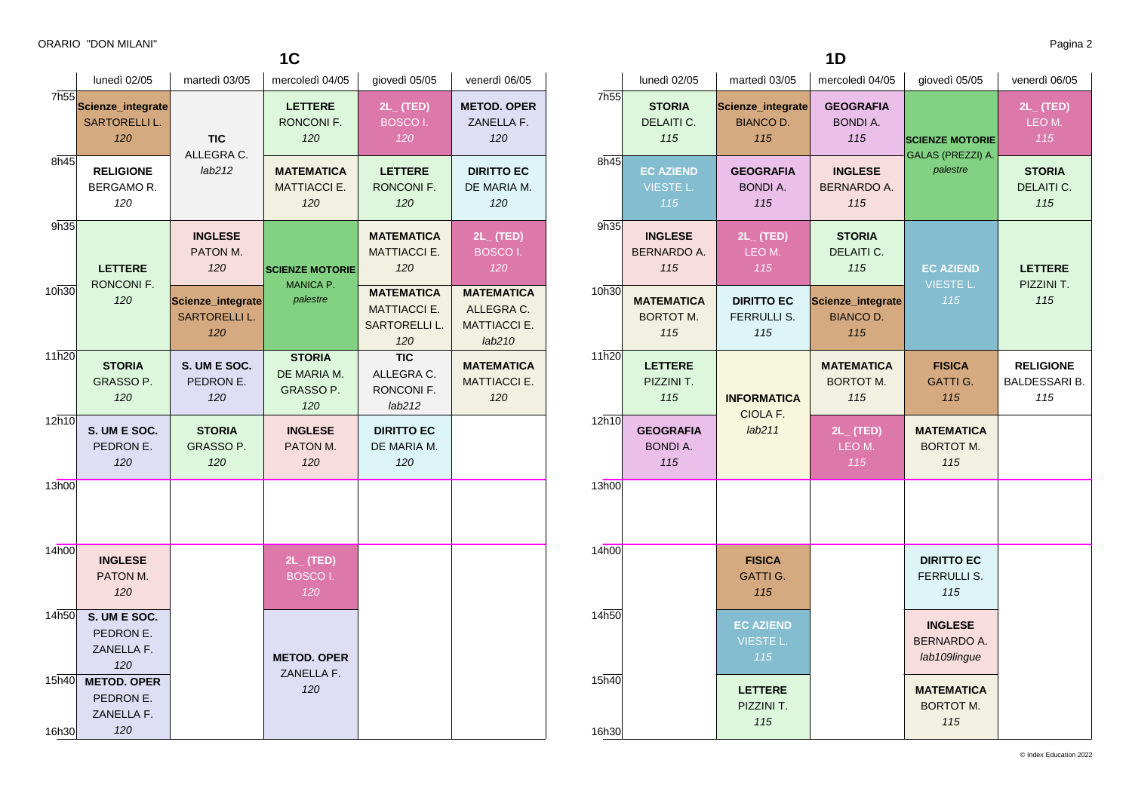**LETTERE** RONCONI F. *120*

**STORIA** GRASSO P. *120*

**S. UM E SOC.** PEDRON E. *120*

10h30

11h20

 $12h10$ 

13h00

14h00

16h30

14h50 **S. UM E SOC.**

PEDRON E. ZANELLA F. *120*

PEDRON E. ZANELLA F. *120*

**INGLESE** PATON M. *120*

15h40 **METOD. OPER**

**INGLESE** PATON M. *120*

**Scienze\_integrate** SARTORELLI L. *120*

> **S. UM E SOC.** PEDRON E. *120*

**STORIA** GRASSO P. *120*

**2L\_ (TED)** BOSCO I. *120* **MATEMATICA** ALLEGRA C. MATTIACCI E. *lab210* **MATEMATICA** MATTIACCI E. *120*

**MATEMATICA** MATTIACCI E. *120* **MATEMATICA** MATTIACCI E. SARTORELLI L. *120* **TIC** ALLEGRA C. RONCONI F. *lab212* **DIRITTO EC** DE MARIA M. *120*

**SCIENZE MOTORIE** MANICA P. *palestre*

> **STORIA** DE MARIA M. GRASSO P. *120* **INGLESE** PATON M. *120*

> > **2L\_ (TED)** BOSCO I.

**METOD. OPER** ZANELLA F. *120*

|      | ORARIO "DON MILANI"                       |                          | 1 <sup>C</sup>               |                                 |                                  |      |                             |                                       | 1D                                  |                               | Pagina 2                 |
|------|-------------------------------------------|--------------------------|------------------------------|---------------------------------|----------------------------------|------|-----------------------------|---------------------------------------|-------------------------------------|-------------------------------|--------------------------|
|      | lunedì 02/05                              | martedì 03/05            | mercoledì 04/05              | qiovedì 05/05                   | venerdì 06/05                    |      | lunedì 02/05                | martedì 03/05                         | mercoledì 04/05                     | giovedì 05/05                 | venerdì 06/05            |
| 7h55 | Scienze_integrate<br><b>SARTORELLI L.</b> |                          | <b>LETTERE</b><br>RONCONI F. | $2L_{-}$ (TED)<br><b>BOSCOI</b> | <b>METOD, OPER</b><br>ZANELLA F. | 7h55 | <b>STORIA</b><br>DELAITI C. | Scienze_integrate<br><b>BIANCO D.</b> | <b>GEOGRAFIA</b><br><b>BONDI A.</b> |                               | $2L_{-}$ (TED)<br>LEO M. |
|      | 120                                       | <b>TIC</b><br>ALLEGRA C. | 120                          | 120                             | 120                              |      | 115                         | 115                                   | 115                                 | <b>SCIENZE MOTORIE</b>        | 115                      |
| 8h45 | <b>RELIGIONE</b>                          | lab212                   | <b>MATEMATICA</b>            | <b>LETTERE</b>                  | <b>DIRITTO EC</b>                | 8h45 | <b>EC AZIEND</b>            | <b>GEOGRAFIA</b>                      | <b>INGLESE</b>                      | GALAS (PREZZI) A.<br>palestre | <b>STORIA</b>            |
|      | <b>BERGAMOR.</b><br>120                   |                          | <b>MATTIACCI E.</b><br>120   | <b>RONCONI F.</b><br>120        | DE MARIA M.<br>120               |      | <b>VIESTE L</b><br>115      | <b>BONDI A.</b><br>115                | <b>BERNARDO A.</b><br>115           |                               | DELAITI C.<br>115        |
| 9h35 |                                           | <b>INGLESE</b>           |                              | <b>MATEMATICA</b>               | $2L_{-}$ (TED)                   | 9h35 | <b>INGLESE</b>              | $2L_{-}$ (TED)                        | <b>STORIA</b>                       |                               |                          |

| 9h35           | <b>INGLESE</b><br><b>BERNARDO A.</b><br>115  | $2L_{-}$ (TED)<br>LEO M.<br>115                | <b>STORIA</b><br><b>DELAITI C.</b><br>115    | <b>EC AZIEND</b>                                     | <b>LETTERE</b>                                  |
|----------------|----------------------------------------------|------------------------------------------------|----------------------------------------------|------------------------------------------------------|-------------------------------------------------|
| 10h30          | <b>MATEMATICA</b><br><b>BORTOT M.</b><br>115 | <b>DIRITTO EC</b><br><b>FERRULLI S.</b><br>115 | Scienze_integrate<br><b>BIANCO D.</b><br>115 | <b>VIESTE L.</b><br>115                              | PIZZINI T.<br>115                               |
| 11h20          | <b>LETTERE</b><br>PIZZINI T.<br>115          | <b>INFORMATICA</b><br>CIOLA F.                 | <b>MATEMATICA</b><br><b>BORTOT M.</b><br>115 | <b>FISICA</b><br><b>GATTI G.</b><br>115              | <b>RELIGIONE</b><br><b>BALDESSARI B.</b><br>115 |
| 12h10          | <b>GEOGRAFIA</b><br><b>BONDIA.</b><br>115    | lab211                                         | $2L_{-}$ (TED)<br>LEO M.<br>115              | <b>MATEMATICA</b><br><b>BORTOT M.</b><br>115         |                                                 |
| 13h00          |                                              |                                                |                                              |                                                      |                                                 |
| 14h00          |                                              | <b>FISICA</b><br><b>GATTI G.</b><br>115        |                                              | <b>DIRITTO EC</b><br><b>FERRULLI S.</b><br>115       |                                                 |
| 14h50          |                                              | <b>EC AZIEND</b><br><b>VIESTE L.</b><br>115    |                                              | <b>INGLESE</b><br><b>BERNARDO A.</b><br>lab109lingue |                                                 |
| 15h40<br>16h30 |                                              | <b>LETTERE</b><br>PIZZINI T.<br>115            |                                              | <b>MATEMATICA</b><br><b>BORTOT M.</b><br>115         |                                                 |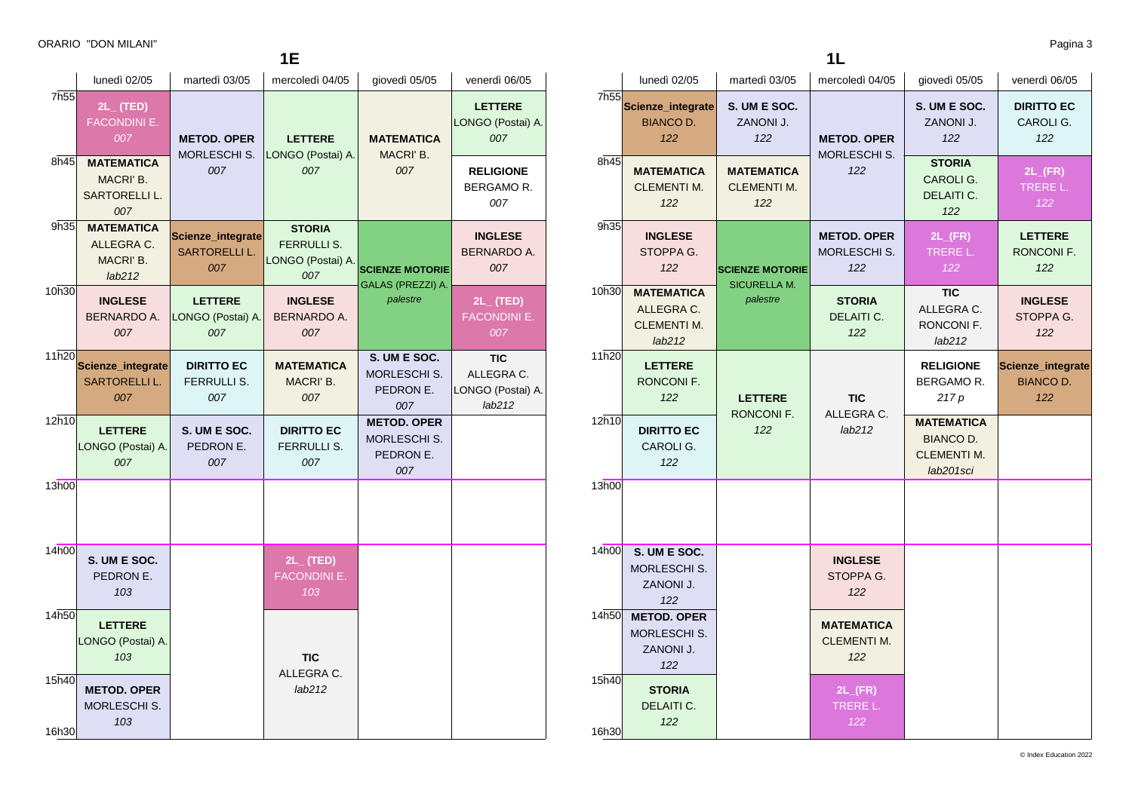16h30

| 1E    |                                                        |                                            |                                                                 |                                                         |                                                  |  |  |
|-------|--------------------------------------------------------|--------------------------------------------|-----------------------------------------------------------------|---------------------------------------------------------|--------------------------------------------------|--|--|
|       | lunedì 02/05                                           | martedì 03/05                              | mercoledì 04/05                                                 | giovedì 05/05                                           | venerdì 06/05                                    |  |  |
| 7h55  | $2L_{-}$ (TED)<br><b>FACONDINI E.</b><br>007           | <b>METOD, OPER</b><br>MORLESCHI S.         | <b>LETTERE</b>                                                  | <b>MATEMATICA</b>                                       | <b>LETTERE</b><br>LONGO (Postai) A.<br>007       |  |  |
| 8h45  | <b>MATEMATICA</b><br>MACRI' B.<br>SARTORELLI L.<br>007 | 007                                        | LONGO (Postai) A.<br>007                                        | MACRI' B.<br>007                                        | <b>RELIGIONE</b><br>BERGAMOR.<br>007             |  |  |
| 9h35  | <b>MATEMATICA</b><br>ALLEGRA C.<br>MACRI' B.<br>lab212 | Scienze_integrate<br>SARTORELLI L.<br>007  | <b>STORIA</b><br><b>FERRULLI S.</b><br>LONGO (Postai) A.<br>007 | <b>SCIENZE MOTORIE</b><br>GALAS (PREZZI) A.<br>palestre | <b>INGLESE</b><br><b>BERNARDO A.</b><br>007      |  |  |
| 10h30 | <b>INGLESE</b><br><b>BERNARDO A.</b><br>007            | <b>LETTERE</b><br>LONGO (Postai) A.<br>007 | <b>INGLESE</b><br><b>BERNARDO A.</b><br>007                     |                                                         | $2L_{-}$ (TED)<br><b>FACONDINI E.</b><br>007     |  |  |
| 11h20 | Scienze_integrate<br>SARTORELLI L.<br>007              | <b>DIRITTO EC</b><br>FERRULLI S.<br>007    | <b>MATEMATICA</b><br>MACRI' B.<br>007                           | S. UM E SOC.<br><b>MORLESCHI S.</b><br>PEDRON E.<br>007 | TIC<br>ALLEGRA C.<br>LONGO (Postai) A.<br>lab212 |  |  |
| 12h10 | <b>LETTERE</b><br>LONGO (Postai) A.<br>007             | S. UM E SOC.<br>PEDRON E.<br>007           | <b>DIRITTO EC</b><br><b>FERRULLI S.</b><br>007                  | <b>METOD. OPER</b><br>MORLESCHI S.<br>PEDRON E.<br>007  |                                                  |  |  |
| 13h00 |                                                        |                                            |                                                                 |                                                         |                                                  |  |  |
| 14h00 | S. UM E SOC.<br>PEDRON E.<br>103                       |                                            | $2L_{-}$ (TED)<br><b>FACONDINI E.</b><br>103                    |                                                         |                                                  |  |  |
| 14h50 | <b>LETTERE</b><br>LONGO (Postai) A.<br>103             |                                            | <b>TIC</b>                                                      |                                                         |                                                  |  |  |
| 15h40 | <b>METOD. OPER</b><br>MORLESCHI S.<br>103              |                                            | ALLEGRA C.<br>lab212                                            |                                                         |                                                  |  |  |

|--|

|                | lunedì 02/05                                                                     | martedì 03/05                                  | mercoledì 04/05                                | giovedì 05/05                                                            | venerdì 06/05                                |
|----------------|----------------------------------------------------------------------------------|------------------------------------------------|------------------------------------------------|--------------------------------------------------------------------------|----------------------------------------------|
| 7h55           | Scienze_integrate<br>S. UM E SOC.<br><b>BIANCO D.</b><br>ZANONI J.<br>122<br>122 |                                                | <b>METOD. OPER</b>                             | S. UM E SOC.<br>ZANONI J.<br>122                                         | <b>DIRITTO EC</b><br>CAROLI G.<br>122        |
| 8h45           | <b>MATEMATICA</b><br><b>CLEMENTI M.</b><br>122                                   | <b>MATEMATICA</b><br><b>CLEMENTI M.</b><br>122 | MORLESCHI S.<br>122                            | <b>STORIA</b><br>CAROLI G.<br>DELAITI C.<br>122                          | $2L$ <sub>(FR)</sub><br>TRERE L.<br>122      |
| 9h35           | <b>INGLESE</b><br>STOPPA G.<br>122                                               | <b>SCIENZE MOTORIE</b>                         | <b>METOD. OPER</b><br>MORLESCHI S.<br>122      | $2L$ <sub>(FR)</sub><br>TRERE L.<br>122                                  | <b>LETTERE</b><br>RONCONI F.<br>122          |
| 10h30          | <b>MATEMATICA</b><br>ALLEGRA C.<br><b>CLEMENTI M.</b><br>lab212                  | <b>SICURELLA M.</b><br>palestre                | <b>STORIA</b><br>DELAITI C.<br>122             | <b>TIC</b><br>ALLEGRA C.<br>RONCONI F.<br>lab212                         | <b>INGLESE</b><br>STOPPA G.<br>122           |
| 11h20          | <b>LETTERE</b><br>RONCONI F.<br>122                                              | <b>LETTERE</b><br>RONCONI F.<br>122            | <b>TIC</b><br>ALLEGRA C.<br>lab212             | <b>RELIGIONE</b><br>BERGAMO R.<br>217 p                                  | Scienze_integrate<br><b>BIANCO D.</b><br>122 |
| 12h10          | <b>DIRITTO EC</b><br>CAROLI G.<br>122                                            |                                                |                                                | <b>MATEMATICA</b><br><b>BIANCO D.</b><br><b>CLEMENTI M.</b><br>lab201sci |                                              |
| 13h00          |                                                                                  |                                                |                                                |                                                                          |                                              |
| 14h00          | S. UM E SOC.<br>MORLESCHI S.<br>ZANONI J.<br>122                                 |                                                | <b>INGLESE</b><br>STOPPA G.<br>122             |                                                                          |                                              |
| 14h50          | <b>METOD. OPER</b><br>MORLESCHI S.<br>ZANONI J.<br>122                           |                                                | <b>MATEMATICA</b><br><b>CLEMENTI M.</b><br>122 |                                                                          |                                              |
| 15h40<br>16h30 | <b>STORIA</b><br>DELAITI C.<br>122                                               |                                                | $2L$ <sub>(FR)</sub><br>TRERE L.<br>122        |                                                                          |                                              |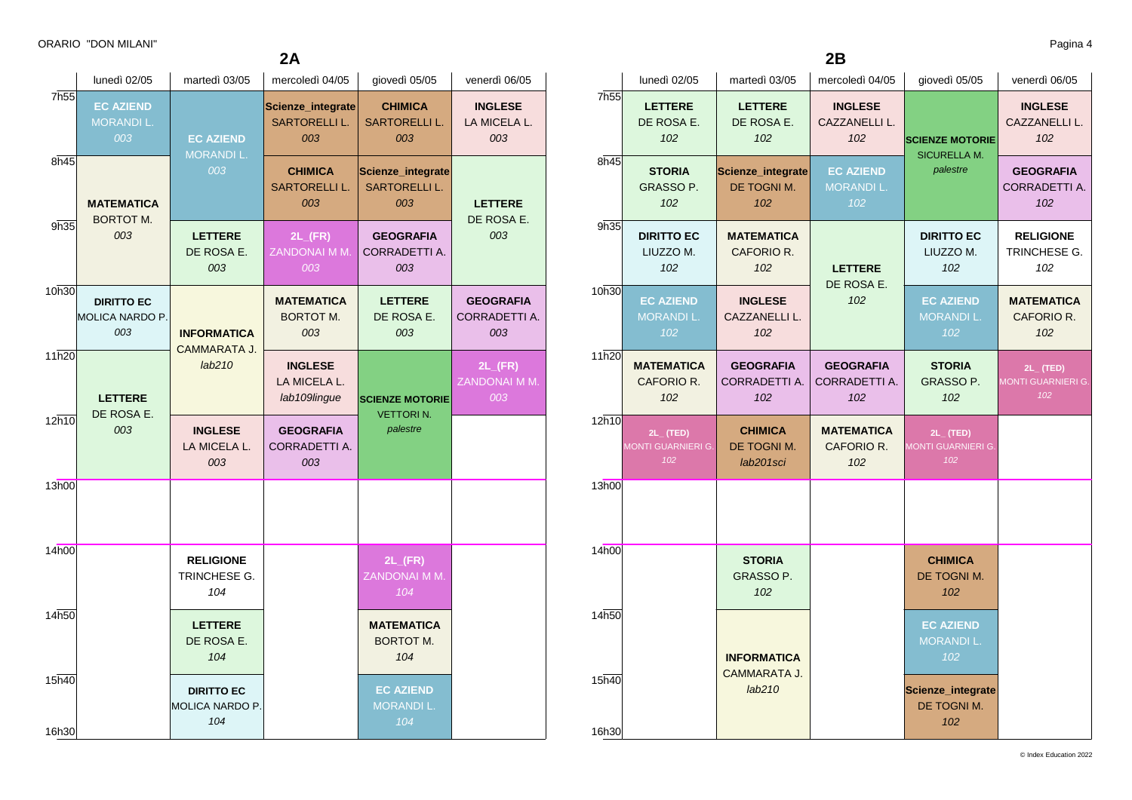|                  | lunedì 02/05                                       | martedì 03/05                               | mercoledì 04/05                                  | giovedì 05/05                                    | venerdì 06/05                                |
|------------------|----------------------------------------------------|---------------------------------------------|--------------------------------------------------|--------------------------------------------------|----------------------------------------------|
| 7 <sub>h55</sub> | <b>EC AZIEND</b><br><b>MORANDIL.</b><br>003        | <b>EC AZIEND</b>                            | Scienze_integrate<br><b>SARTORELLI L.</b><br>003 | <b>CHIMICA</b><br><b>SARTORELLI L.</b><br>003    | <b>INGLESE</b><br>LA MICELA L.<br>003        |
| 8h45             | <b>MATEMATICA</b><br><b>BORTOT M.</b>              | <b>MORANDIL.</b><br>003                     | <b>CHIMICA</b><br><b>SARTORELLI L.</b><br>003    | Scienze_integrate<br><b>SARTORELLI L.</b><br>003 | <b>LETTERE</b><br>DE ROSA E.                 |
| 9h35             | 003                                                | <b>LETTERE</b><br>DE ROSA E.<br>003         | $2L$ <sub>(FR)</sub><br>ZANDONAI M M.<br>003     | <b>GEOGRAFIA</b><br><b>CORRADETTI A.</b><br>003  | 003                                          |
| 10h30            | <b>DIRITTO EC</b><br><b>MOLICA NARDO P.</b><br>003 | <b>INFORMATICA</b><br>CAMMARATA J.          | <b>MATEMATICA</b><br><b>BORTOT M.</b><br>003     | <b>LETTERE</b><br>DE ROSA E.<br>003              | <b>GEOGRAFIA</b><br>CORRADETTI A.<br>003     |
| 11h20            | <b>LETTERE</b>                                     | lab210                                      | <b>INGLESE</b><br>LA MICELA L.<br>lab109lingue   | <b>SCIENZE MOTORIE</b><br><b>VETTORIN.</b>       | $2L$ <sub>(FR)</sub><br>ZANDONAI M M.<br>003 |
| 12h10            | DE ROSA E.<br>003                                  | <b>INGLESE</b><br>LA MICELA L.<br>003       | <b>GEOGRAFIA</b><br><b>CORRADETTI A.</b><br>003  | palestre                                         |                                              |
| 13h00            |                                                    |                                             |                                                  |                                                  |                                              |
| 14h00            |                                                    | <b>RELIGIONE</b><br>TRINCHESE G.<br>104     |                                                  | $2L$ <sub>(FR)</sub><br>ZANDONAI M M.<br>104     |                                              |
| 14h50            |                                                    | <b>LETTERE</b><br>DE ROSA E.<br>104         |                                                  | <b>MATEMATICA</b><br><b>BORTOT M.</b><br>104     |                                              |
| 15h40<br>16h30   |                                                    | <b>DIRITTO EC</b><br>MOLICA NARDO P.<br>104 |                                                  | <b>EC AZIEND</b><br><b>MORANDI L.</b><br>104     |                                              |

|       | lunedì 02/05                                 | martedì 03/05                              | mercoledì 04/05                             | giovedì 05/05                                | venerdì 06/05                               |
|-------|----------------------------------------------|--------------------------------------------|---------------------------------------------|----------------------------------------------|---------------------------------------------|
| 7h55  | <b>LETTERE</b><br>DE ROSA E.<br>102          | <b>LETTERE</b><br>DE ROSA E.<br>102        | <b>INGLESE</b><br>CAZZANELLI L.<br>102      | <b>SCIENZE MOTORIE</b>                       | <b>INGLESE</b><br>CAZZANELLI L.<br>102      |
| 8h45  | <b>STORIA</b><br><b>GRASSO P.</b><br>102     | Scienze_integrate<br>DE TOGNIM.<br>102     | <b>EC AZIEND</b><br><b>MORANDIL.</b><br>102 | <b>SICURELLA M.</b><br>palestre              | <b>GEOGRAFIA</b><br>CORRADETTI A.<br>102    |
| 9h35  | <b>DIRITTO EC</b><br>LIUZZO M.<br>102        | <b>MATEMATICA</b><br>CAFORIO R.<br>102     | <b>LETTERE</b>                              | <b>DIRITTO EC</b><br>LIUZZO M.<br>102        | <b>RELIGIONE</b><br>TRINCHESE G.<br>102     |
| 10h30 | <b>EC AZIEND</b><br><b>MORANDI L.</b><br>102 | <b>INGLESE</b><br>CAZZANELLI L.<br>102     | DE ROSA E.<br>102                           | <b>EC AZIEND</b><br><b>MORANDI L.</b><br>102 | <b>MATEMATICA</b><br>CAFORIO R.<br>102      |
| 11h20 | <b>MATEMATICA</b><br>CAFORIO R.<br>102       | <b>GEOGRAFIA</b><br>CORRADETTI A.<br>102   | <b>GEOGRAFIA</b><br>CORRADETTI A.<br>102    | <b>STORIA</b><br>GRASSO P.<br>102            | $2L_{-}$ (TED)<br>MONTI GUARNIERI G.<br>102 |
| 12h10 | $2L_{-}$ (TED)<br>MONTI GUARNIERI G.<br>102  | <b>CHIMICA</b><br>DE TOGNI M.<br>lab201sci | <b>MATEMATICA</b><br>CAFORIO R.<br>102      | $2L_{-}$ (TED)<br>MONTI GUARNIERI G.<br>102  |                                             |
| 13h00 |                                              |                                            |                                             |                                              |                                             |
| 14h00 |                                              | <b>STORIA</b><br><b>GRASSO P.</b><br>102   |                                             | <b>CHIMICA</b><br>DE TOGNI M.<br>102         |                                             |
| 14h50 |                                              | <b>INFORMATICA</b>                         |                                             | <b>EC AZIEND</b><br><b>MORANDI L.</b><br>102 |                                             |
| 15h40 |                                              | CAMMARATA J.<br>lab210                     |                                             | Scienze_integrate<br>DE TOGNI M.             |                                             |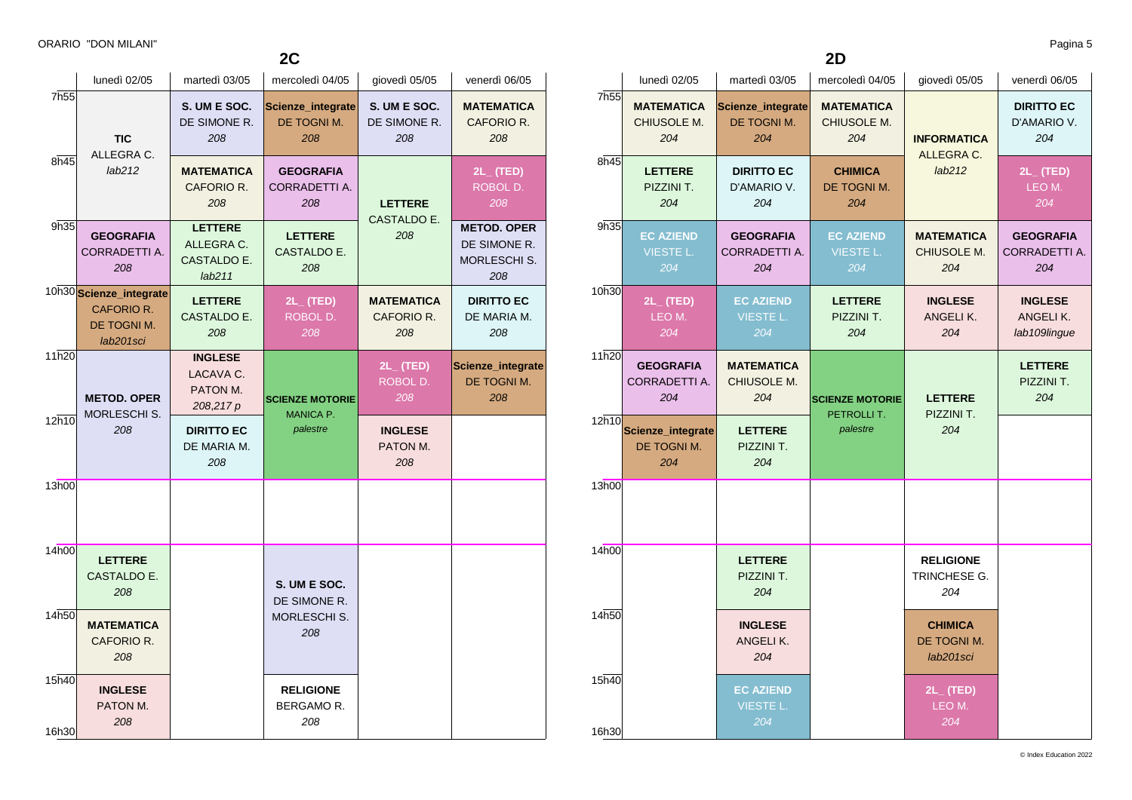$2C$ 

|                | lunedì 02/05                                                      | martedì 03/05                                         | mercoledì 04/05                                 | giovedì 05/05                       | venerdì 06/05                                             |
|----------------|-------------------------------------------------------------------|-------------------------------------------------------|-------------------------------------------------|-------------------------------------|-----------------------------------------------------------|
| 7h55           | <b>TIC</b><br>ALLEGRA C.                                          | S. UM E SOC.<br>DE SIMONE R.<br>208                   | Scienze_integrate<br>DE TOGNI M.<br>208         | S. UM E SOC.<br>DE SIMONE R.<br>208 | <b>MATEMATICA</b><br>CAFORIO R.<br>208                    |
| 8h45           | lab212                                                            | MATEMATICA<br>CAFORIO R.<br>208                       | <b>GEOGRAFIA</b><br>CORRADETTI A.<br>208        | <b>LETTERE</b><br>CASTALDO E.       | $2L$ (TED)<br>ROBOL D.<br>208                             |
| 9h35           | <b>GEOGRAFIA</b><br>CORRADETTI A.<br>208                          | <b>LETTERE</b><br>ALLEGRA C.<br>CASTALDO E.<br>lab211 | <b>LETTERE</b><br>CASTALDO E.<br>208            | 208                                 | <b>METOD. OPER</b><br>DE SIMONE R.<br>MORLESCHI S.<br>208 |
|                | 10h30 Scienze_integrate<br>CAFORIO R.<br>DE TOGNI M.<br>lab201sci | <b>LETTERE</b><br>CASTALDO E.<br>208                  | $2L_{-}$ (TED)<br>ROBOL D.<br>208               | MATEMATICA<br>CAFORIO R.<br>208     | <b>DIRITTO EC</b><br>DE MARIA M.<br>208                   |
| 11h20          | <b>METOD. OPER</b><br>MORLESCHI S.                                | <b>INGLESE</b><br>LACAVA C.<br>PATON M.<br>208,217 p  | <b>SCIENZE MOTORIE</b><br>MANICA P.<br>palestre | $2L_{-}$ (TED)<br>ROBOL D.<br>208   | Scienze_integrate<br>DE TOGNI M.<br>208                   |
| 12h10          | 208                                                               | <b>DIRITTO EC</b><br>DE MARIA M.<br>208               |                                                 | <b>INGLESE</b><br>PATON M.<br>208   |                                                           |
| 13h00          |                                                                   |                                                       |                                                 |                                     |                                                           |
| 14h00          | <b>LETTERE</b><br>CASTALDO E.<br>208                              |                                                       | S. UM E SOC.<br>DE SIMONE R.                    |                                     |                                                           |
| 14h50          | <b>MATEMATICA</b><br>CAFORIO R.<br>208                            |                                                       | <b>MORLESCHI S.</b><br>208                      |                                     |                                                           |
| 15h40<br>16h30 | <b>INGLESE</b><br>PATON M.<br>208                                 |                                                       | <b>RELIGIONE</b><br>BERGAMO R.<br>208           |                                     |                                                           |

> **EC AZIEND** VIESTE L.

10h30

 $11h20$ 

13h00

14h00

14h50

15h40

16h30

| 2D            |                                             |                                             |                                             |                                            |                                            |  |  |
|---------------|---------------------------------------------|---------------------------------------------|---------------------------------------------|--------------------------------------------|--------------------------------------------|--|--|
|               | lunedì 02/05                                | martedì 03/05                               | mercoledì 04/05                             | giovedì 05/05                              | venerdì 06/05                              |  |  |
| 7h55          | <b>MATEMATICA</b><br>CHIUSOLE M.<br>204     | Scienze_integrate<br>DE TOGNI M.<br>204     | <b>MATEMATICA</b><br>CHIUSOLE M.<br>204     | <b>INFORMATICA</b><br>ALLEGRA C.           | <b>DIRITTO EC</b><br>D'AMARIO V.<br>204    |  |  |
| 8h45          | <b>LETTERE</b><br>PIZZINI T.<br>204         | <b>DIRITTO EC</b><br>D'AMARIO V.<br>204     | <b>CHIMICA</b><br>DE TOGNI M.<br>204        | lab212                                     | $2L_{-}$ (TED)<br>LEO M.<br>204            |  |  |
| 9h35          | <b>EC AZIEND</b><br><b>VIESTE L.</b><br>204 | <b>GEOGRAFIA</b><br>CORRADETTI A.<br>204    | <b>EC AZIEND</b><br><b>VIESTE L.</b><br>204 | <b>MATEMATICA</b><br>CHIUSOLE M.<br>204    | <b>GEOGRAFIA</b><br>CORRADETTI A.<br>204   |  |  |
| 10h30         | $2L_{-}$ (TED)<br>LEO M.<br>204             | <b>EC AZIEND</b><br><b>VIESTE L.</b><br>204 | <b>LETTERE</b><br>PIZZINI T.<br>204         | <b>INGLESE</b><br>ANGELIK.<br>204          | <b>INGLESE</b><br>ANGELIK.<br>lab109lingue |  |  |
| 11h20         | <b>GEOGRAFIA</b><br>CORRADETTI A.<br>204    | <b>MATEMATICA</b><br>CHIUSOLE M.<br>204     | <b>SCIENZE MOTORIE</b><br>PETROLLIT.        | <b>LETTERE</b>                             | <b>LETTERE</b><br>PIZZINI T.<br>204        |  |  |
| $12\bar{h}10$ | Scienze_integrate<br>DE TOGNI M.<br>204     | <b>LETTERE</b><br>PIZZINI T.<br>204         | palestre                                    | PIZZINI T.<br>204                          |                                            |  |  |
| 13h00         |                                             |                                             |                                             |                                            |                                            |  |  |
| 14h00         |                                             | <b>LETTERE</b><br>PIZZINI T.<br>204         |                                             | <b>RELIGIONE</b><br>TRINCHESE G.<br>204    |                                            |  |  |
| 14h50         |                                             | <b>INGLESE</b><br>ANGELIK.<br>204           |                                             | <b>CHIMICA</b><br>DE TOGNI M.<br>lab201sci |                                            |  |  |

**2L\_ (TED)** LEO M.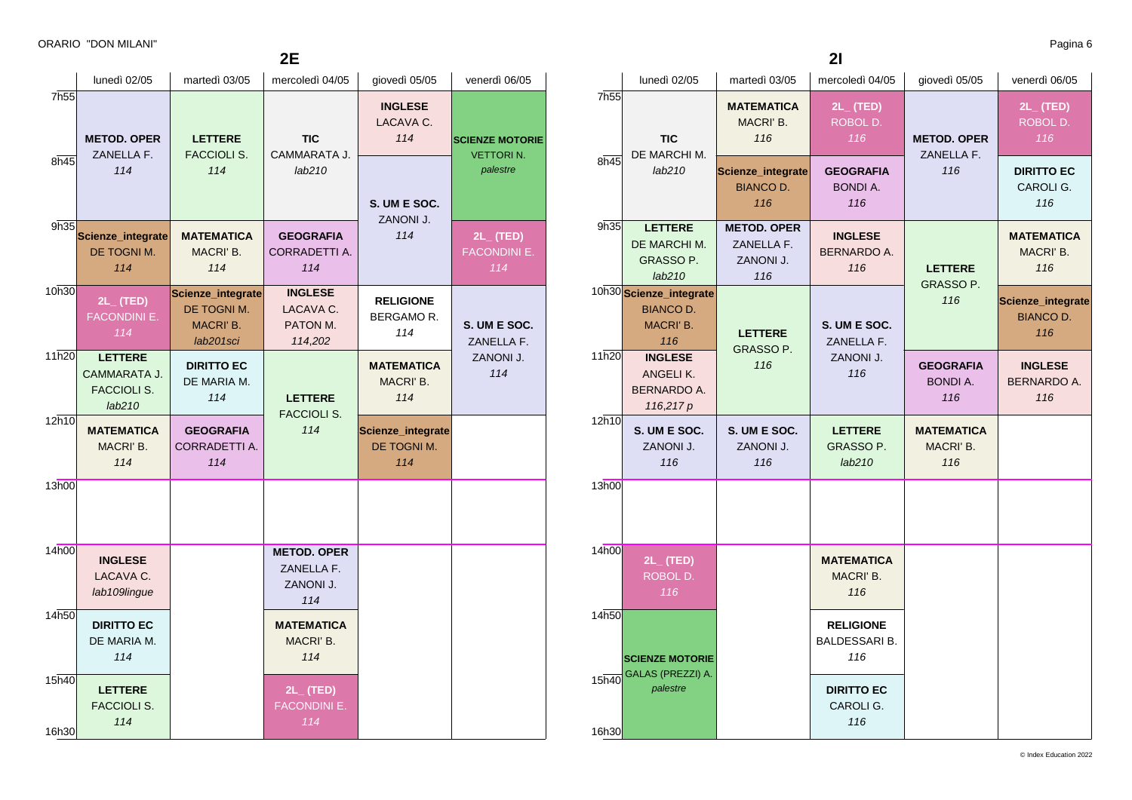|                          |                                                                |                                                            | 2Е                                                   |                                                    |                                                        |
|--------------------------|----------------------------------------------------------------|------------------------------------------------------------|------------------------------------------------------|----------------------------------------------------|--------------------------------------------------------|
|                          | lunedì 02/05                                                   | martedì 03/05                                              | mercoledì 04/05                                      | giovedì 05/05                                      | venerdì 06/05                                          |
| 7h <sub>55</sub><br>8h45 | <b>METOD. OPER</b><br>ZANELLA F.<br>114                        | <b>LETTERE</b><br><b>FACCIOLI S.</b><br>114                | <b>TIC</b><br>CAMMARATA J.<br>lab210                 | <b>INGLESE</b><br>LACAVA C.<br>114<br>S. UM E SOC. | <b>SCIENZE MOTORIE</b><br><b>VETTORIN.</b><br>palestre |
| 9h35                     | Scienze_integrate<br>DE TOGNI M.<br>114                        | <b>MATEMATICA</b><br>MACRI' B.<br>114                      | <b>GEOGRAFIA</b><br>CORRADETTI A.<br>114             | ZANONI J.<br>114                                   | $2L_{-}$ (TED)<br><b>FACONDINI E.</b><br>114           |
| 10h30                    | $2L_{-}$ (TED)<br><b>FACONDINI E.</b><br>114                   | Scienze_integrate<br>DE TOGNI M.<br>MACRI' B.<br>lab201sci | <b>INGLESE</b><br>LACAVA C.<br>PATON M.<br>114,202   | <b>RELIGIONE</b><br>BERGAMOR.<br>114               | S. UM E SOC.<br>ZANELLA F.                             |
| 11h20                    | <b>LETTERE</b><br>CAMMARATA J.<br><b>FACCIOLI S.</b><br>lab210 | <b>DIRITTO EC</b><br>DE MARIA M.<br>114                    | <b>LETTERE</b><br><b>FACCIOLI S.</b>                 | <b>MATEMATICA</b><br>MACRI' B.<br>114              | ZANONI J.<br>114                                       |
| 12h10                    | <b>MATEMATICA</b><br>MACRI' B.<br>114                          | <b>GEOGRAFIA</b><br>CORRADETTI A.<br>114                   | 114                                                  | Scienze_integrate<br>DE TOGNI M.<br>114            |                                                        |
| 13h00                    |                                                                |                                                            |                                                      |                                                    |                                                        |
| 14h00                    | <b>INGLESE</b><br>LACAVA C.<br>lab109lingue                    |                                                            | <b>METOD. OPER</b><br>ZANELLA F.<br>ZANONI J.<br>114 |                                                    |                                                        |
| 14h50                    | <b>DIRITTO EC</b><br>DE MARIA M.<br>114                        |                                                            | <b>MATEMATICA</b><br>MACRI' B.<br>114                |                                                    |                                                        |
| 15h40<br>16h30           | <b>LETTERE</b><br><b>FACCIOLI S.</b><br>114                    |                                                            | $2L_{-}$ (TED)<br><b>FACONDINI E.</b><br>114         |                                                    |                                                        |

|                |                                                                 |                                                      | 21                                              |                                            |                                              |
|----------------|-----------------------------------------------------------------|------------------------------------------------------|-------------------------------------------------|--------------------------------------------|----------------------------------------------|
|                | lunedì 02/05                                                    | martedì 03/05                                        | mercoledì 04/05                                 | giovedì 05/05                              | venerdì 06/05                                |
| 7h55           | <b>TIC</b><br>DE MARCHI M.                                      | <b>MATEMATICA</b><br>MACRI' B.<br>116                | $2L_{-}$ (TED)<br>ROBOL D.<br>116               | <b>METOD. OPER</b><br>ZANELLA F.           | $2L_{-}$ (TED)<br>ROBOL D.<br>116            |
| 8h45           | lab210                                                          | Scienze_integrate<br><b>BIANCO D.</b><br>116         | <b>GEOGRAFIA</b><br><b>BONDI A.</b><br>116      | 116                                        | <b>DIRITTO EC</b><br>CAROLI G.<br>116        |
| 9h35           | <b>LETTERE</b><br>DE MARCHI M.<br><b>GRASSO P.</b><br>lab210    | <b>METOD. OPER</b><br>ZANELLA F.<br>ZANONI J.<br>116 | <b>INGLESE</b><br><b>BERNARDO A.</b><br>116     | <b>LETTERE</b><br><b>GRASSO P.</b>         | <b>MATEMATICA</b><br>MACRI' B.<br>116        |
|                | 10h30 Scienze_integrate<br><b>BIANCO D.</b><br>MACRI' B.<br>116 | <b>LETTERE</b><br>GRASSO P.                          | S. UM E SOC.<br>ZANELLA F.                      | 116                                        | Scienze_integrate<br><b>BIANCO D.</b><br>116 |
| 11h20          | <b>INGLESE</b><br>ANGELIK.<br>BERNARDO A.<br>116,217 p          | 116                                                  | ZANONI J.<br>116                                | <b>GEOGRAFIA</b><br><b>BONDI A.</b><br>116 | <b>INGLESE</b><br><b>BERNARDO A.</b><br>116  |
| 12h10          | S. UM E SOC.<br>ZANONI J.<br>116                                | S. UM E SOC.<br>ZANONI J.<br>116                     | <b>LETTERE</b><br>GRASSO P.<br>lab210           | <b>MATEMATICA</b><br>MACRI' B.<br>116      |                                              |
| 13h00          |                                                                 |                                                      |                                                 |                                            |                                              |
| 14h00          | $2L_{-}$ (TED)<br>ROBOL D.<br>116                               |                                                      | <b>MATEMATICA</b><br>MACRI' B.<br>116           |                                            |                                              |
| 14h50          | <b>SCIENZE MOTORIE</b>                                          |                                                      | <b>RELIGIONE</b><br><b>BALDESSARI B.</b><br>116 |                                            |                                              |
| 15h40<br>16h30 | GALAS (PREZZI) A.<br>palestre                                   |                                                      | <b>DIRITTO EC</b><br>CAROLI G.<br>116           |                                            |                                              |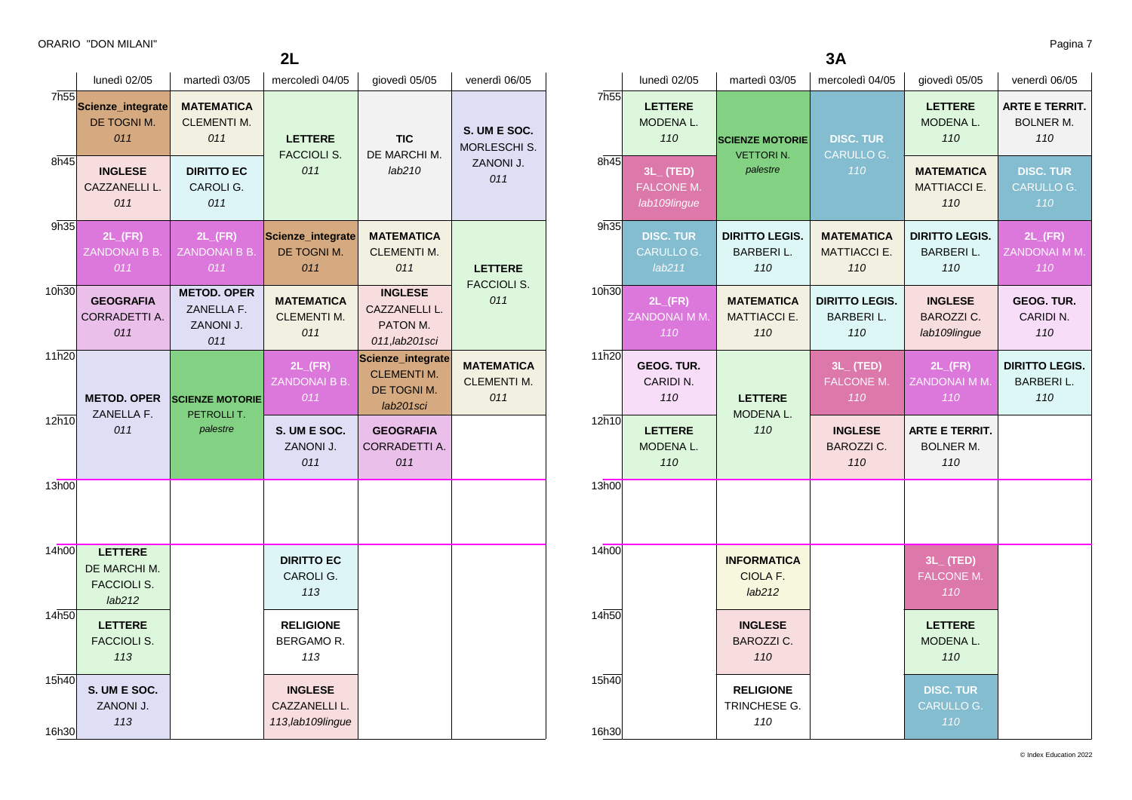ORARIO "DON MILANI" Pagina 7

|                |                                                         |                                                      | 2L                                                   |                                                                     |                                                |
|----------------|---------------------------------------------------------|------------------------------------------------------|------------------------------------------------------|---------------------------------------------------------------------|------------------------------------------------|
|                | lunedì 02/05                                            | martedì 03/05                                        | mercoledì 04/05                                      | giovedì 05/05                                                       | venerdì 06/05                                  |
| 7h55           | Scienze_integrate<br>DE TOGNI M.<br>011                 | <b>MATEMATICA</b><br><b>CLEMENTI M.</b><br>011       | <b>LETTERE</b><br><b>FACCIOLI S.</b>                 | <b>TIC</b><br>DE MARCHI M.                                          | S. UM E SOC.<br>MORLESCHI S.                   |
| 8h45           | <b>INGLESE</b><br>CAZZANELLI L.<br>011                  | <b>DIRITTO EC</b><br>CAROLI G.<br>011                | 011                                                  | lab210                                                              | ZANONI J.<br>011                               |
| 9h35           | $2L$ <sub>(FR)</sub><br>ZANDONAI B B.<br>011            | $2L$ <sub>(FR)</sub><br>ZANDONAI B B.<br>011         | Scienze_integrate<br>DE TOGNI M.<br>011              | <b>MATEMATICA</b><br><b>CLEMENTI M.</b><br>011                      | <b>LETTERE</b><br>FACCIOLI S.                  |
| 10h30          | <b>GEOGRAFIA</b><br>CORRADETTI A.<br>011                | <b>METOD. OPER</b><br>ZANELLA F.<br>ZANONI J.<br>011 | <b>MATEMATICA</b><br><b>CLEMENTI M.</b><br>011       | <b>INGLESE</b><br>CAZZANELLI L.<br>PATON M.<br>011, lab201sci       | 011                                            |
| 11h20          | <b>METOD. OPER</b><br>ZANELLA F.                        | <b>SCIENZE MOTORIE</b><br>PETROLLI T.                | $2L$ <sub>(FR)</sub><br>ZANDONAI B B.<br>011         | Scienze_integrate<br><b>CLEMENTI M.</b><br>DE TOGNI M.<br>lab201sci | <b>MATEMATICA</b><br><b>CLEMENTI M.</b><br>011 |
| 12h10          | 011                                                     | palestre                                             | S. UM E SOC.<br>ZANONI J.<br>011                     | <b>GEOGRAFIA</b><br>CORRADETTI A.<br>011                            |                                                |
| 13h00          |                                                         |                                                      |                                                      |                                                                     |                                                |
| 14h00          | <b>LETTERE</b><br>DE MARCHI M.<br>FACCIOLI S.<br>lab212 |                                                      | <b>DIRITTO EC</b><br>CAROLI G.<br>113                |                                                                     |                                                |
| 14h50          | <b>LETTERE</b><br><b>FACCIOLI S.</b><br>113             |                                                      | <b>RELIGIONE</b><br>BERGAMO R.<br>113                |                                                                     |                                                |
| 15h40<br>16h30 | S. UM E SOC.<br>ZANONI J.<br>113                        |                                                      | <b>INGLESE</b><br>CAZZANELLI L.<br>113, lab109lingue |                                                                     |                                                |

| 3A               |                                                     |                                                  |                                                  |                                                     |                                                  |  |
|------------------|-----------------------------------------------------|--------------------------------------------------|--------------------------------------------------|-----------------------------------------------------|--------------------------------------------------|--|
|                  | lunedì 02/05                                        | martedì 03/05                                    | mercoledì 04/05                                  | giovedì 05/05                                       | venerdì 06/05                                    |  |
| 7h <sub>55</sub> | <b>LETTERE</b><br>MODENA L.<br>110                  | <b>SCIENZE MOTORIE</b><br><b>VETTORIN.</b>       | <b>DISC. TUR</b><br>CARULLO G.                   | <b>LETTERE</b><br>MODENA L.<br>110                  | <b>ARTE E TERRIT.</b><br><b>BOLNER M.</b><br>110 |  |
| 8h45             | $3L_{-}$ (TED)<br><b>FALCONE M.</b><br>lab109lingue | palestre                                         | 110                                              | <b>MATEMATICA</b><br><b>MATTIACCI E.</b><br>110     | <b>DISC. TUR</b><br><b>CARULLO G.</b><br>110     |  |
| 9h35             | <b>DISC. TUR</b><br>CARULLO G.<br>lab211            | <b>DIRITTO LEGIS.</b><br><b>BARBERIL.</b><br>110 | <b>MATEMATICA</b><br><b>MATTIACCI E.</b><br>110  | <b>DIRITTO LEGIS.</b><br>BARBERI L.<br>110          | $2L$ <sub>(FR)</sub><br>ZANDONAI M M.<br>110     |  |
| 10h30            | $2L$ <sub>(FR)</sub><br>ZANDONAI M M.<br>110        | <b>MATEMATICA</b><br><b>MATTIACCI E.</b><br>110  | <b>DIRITTO LEGIS.</b><br><b>BARBERIL.</b><br>110 | <b>INGLESE</b><br><b>BAROZZI C.</b><br>lab109lingue | <b>GEOG. TUR.</b><br>CARIDIN.<br>110             |  |
| 11h20            | <b>GEOG. TUR.</b><br>CARIDI N.<br>110               | <b>LETTERE</b><br>MODENA L.                      | $3L_{-}$ (TED)<br><b>FALCONE M.</b><br>110       | $2L$ <sub>(FR)</sub><br>ZANDONAI M M.<br>110        | <b>DIRITTO LEGIS.</b><br><b>BARBERIL.</b><br>110 |  |
| 12h10            | <b>LETTERE</b><br>MODENA L.<br>110                  | 110                                              | <b>INGLESE</b><br><b>BAROZZI C.</b><br>110       | <b>ARTE E TERRIT.</b><br>BOLNER M.<br>110           |                                                  |  |
| 13h00            |                                                     |                                                  |                                                  |                                                     |                                                  |  |
| 14h00            |                                                     | <b>INFORMATICA</b><br>CIOLA F.<br>lab212         |                                                  | $3L_{-}$ (TED)<br>FALCONE M.<br>110                 |                                                  |  |
| 14h50            |                                                     | <b>INGLESE</b><br><b>BAROZZI C.</b><br>110       |                                                  | <b>LETTERE</b><br>MODENA L.<br>110                  |                                                  |  |
| 15h40            |                                                     | <b>RELIGIONE</b><br>TRINCHESE G.<br>110          |                                                  | <b>DISC. TUR</b><br><b>CARULLO G.</b><br>110        |                                                  |  |
| 16h30            |                                                     |                                                  |                                                  |                                                     |                                                  |  |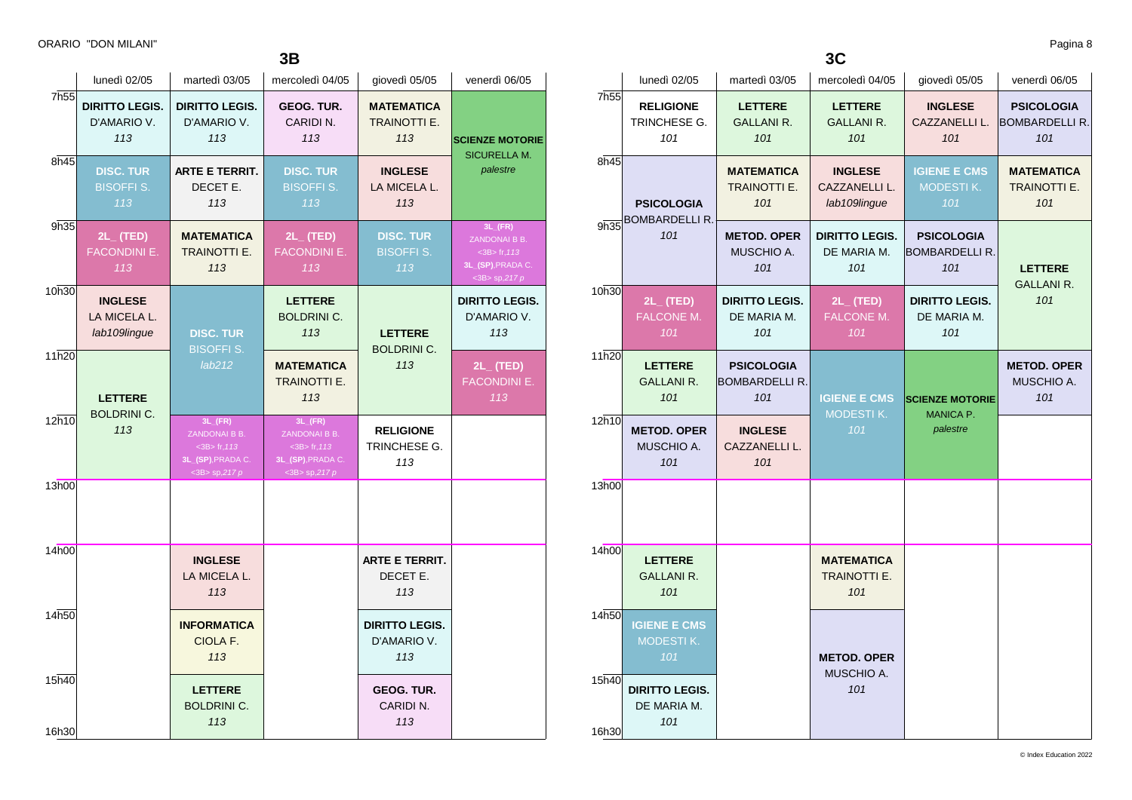|                | lunedì 02/05                                   | martedì 03/05                                                                                          | mercoledì 04/05                                                                                        | giovedì 05/05                                   | venerdì 06/05                                                                                          |
|----------------|------------------------------------------------|--------------------------------------------------------------------------------------------------------|--------------------------------------------------------------------------------------------------------|-------------------------------------------------|--------------------------------------------------------------------------------------------------------|
| 7h55           | <b>DIRITTO LEGIS.</b><br>D'AMARIO V.<br>113    | <b>DIRITTO LEGIS.</b><br>D'AMARIO V.<br>113                                                            | GEOG. TUR.<br>CARIDIN.<br>113                                                                          | <b>MATEMATICA</b><br><b>TRAINOTTI E.</b><br>113 | <b>SCIENZE MOTORIE</b><br><b>SICURELLA M.</b>                                                          |
| 8h45           | DISC. TUR<br><b>BISOFFI S.</b><br>113          | ARTE E TERRIT.<br>DECET E.<br>113                                                                      | DISC. TUR<br><b>BISOFFI S.</b><br>113                                                                  | <b>INGLESE</b><br>LA MICELA L.<br>113           | palestre                                                                                               |
| 9h35           | $2L_{-}$ (TED)<br><b>FACONDINI E.</b><br>113   | <b>MATEMATICA</b><br>TRAINOTTI E.<br>113                                                               | $2L_{-}$ (TED)<br><b>FACONDINI E.</b><br>113                                                           | <b>DISC. TUR</b><br><b>BISOFFI S.</b><br>113    | $3L$ <sub>(FR)</sub><br>ZANDONAI B B.<br>$<$ 3B $>$ fr, 113<br>3L_(SP), PRADA C.<br>$<$ 3B> sp,217 $p$ |
| 10h30          | <b>INGLESE</b><br>LA MICELA L.<br>lab109lingue | <b>DISC. TUR</b><br><b>BISOFFI S.</b>                                                                  | <b>LETTERE</b><br><b>BOLDRINI C.</b><br>113                                                            | <b>LETTERE</b><br><b>BOLDRINI C.</b>            | <b>DIRITTO LEGIS.</b><br>D'AMARIO V.<br>113                                                            |
| 11h20          | <b>LETTERE</b>                                 | lab212                                                                                                 | <b>MATEMATICA</b><br><b>TRAINOTTI E.</b><br>113                                                        | 113                                             | $2L_{-}$ (TED)<br><b>FACONDINI E.</b><br>113                                                           |
| 12h10          | <b>BOLDRINI C.</b><br>113                      | $3L$ <sub>(FR)</sub><br>ZANDONAI B B.<br>$<$ 3B $>$ fr, 113<br>3L_(SP), PRADA C.<br>$<$ 3B> sp,217 $p$ | $3L$ <sub>(FR)</sub><br>ZANDONAI B B.<br>$<$ 3B $>$ fr, 113<br>3L_(SP), PRADA C.<br>$<$ 3B> sp,217 $p$ | <b>RELIGIONE</b><br>TRINCHESE G.<br>113         |                                                                                                        |
| 13h00          |                                                |                                                                                                        |                                                                                                        |                                                 |                                                                                                        |
| 14h00          |                                                | <b>INGLESE</b><br>LA MICELA L.<br>113                                                                  |                                                                                                        | <b>ARTE E TERRIT.</b><br>DECET E.<br>113        |                                                                                                        |
| 14h50          |                                                | <b>INFORMATICA</b><br>CIOLA F.<br>113                                                                  |                                                                                                        | <b>DIRITTO LEGIS.</b><br>D'AMARIO V.<br>113     |                                                                                                        |
| 15h40<br>16h30 |                                                | <b>LETTERE</b><br><b>BOLDRINI C.</b><br>113                                                            |                                                                                                        | <b>GEOG. TUR.</b><br>CARIDI N.<br>113           |                                                                                                        |

**3C**

|                  | lunedì 02/05                                   | martedì 03/05                                     | mercoledì 04/05                                 | giovedì 05/05                                     | venerdì 06/05                                     |  |
|------------------|------------------------------------------------|---------------------------------------------------|-------------------------------------------------|---------------------------------------------------|---------------------------------------------------|--|
| 7h <sub>55</sub> | <b>RELIGIONE</b><br>TRINCHESE G.<br>101        | <b>LETTERE</b><br><b>GALLANI R.</b><br>101        | <b>LETTERE</b><br><b>GALLANI R.</b><br>101      | <b>INGLESE</b><br>CAZZANELLI L.<br>101            | <b>PSICOLOGIA</b><br><b>BOMBARDELLI R.</b><br>101 |  |
| 8h45             | <b>PSICOLOGIA</b>                              | <b>MATEMATICA</b><br>TRAINOTTI E.<br>101          | <b>INGLESE</b><br>CAZZANELLI L.<br>lab109lingue | <b>IGIENE E CMS</b><br>MODESTIK.<br>101           | <b>MATEMATICA</b><br><b>TRAINOTTI E.</b><br>101   |  |
| 9h35             | <b>BOMBARDELLI R.</b><br>101                   | <b>METOD. OPER</b><br>MUSCHIO A.<br>101           | <b>DIRITTO LEGIS.</b><br>DE MARIA M.<br>101     | <b>PSICOLOGIA</b><br><b>BOMBARDELLI R.</b><br>101 | <b>LETTERE</b><br><b>GALLANI R.</b>               |  |
| 10h30            | $2L_{-}$ (TED)<br><b>FALCONE M.</b><br>101     | <b>DIRITTO LEGIS.</b><br>DE MARIA M.<br>101       | $2L_{-}$ (TED)<br><b>FALCONE M.</b><br>101      | <b>DIRITTO LEGIS.</b><br>DE MARIA M.<br>101       | 101                                               |  |
| 11h20            | <b>LETTERE</b><br><b>GALLANI R.</b><br>101     | <b>PSICOLOGIA</b><br><b>BOMBARDELLI R.</b><br>101 | <b>IGIENE E CMS</b><br><b>MODESTIK.</b>         | <b>SCIENZE MOTORIE</b><br>MANICA P.               | <b>METOD. OPER</b><br>MUSCHIO A.<br>101           |  |
| 12h10            | <b>METOD. OPER</b><br>MUSCHIO A.<br>101        | <b>INGLESE</b><br>CAZZANELLI L.<br>101            | 101                                             | palestre                                          |                                                   |  |
| 13h00            |                                                |                                                   |                                                 |                                                   |                                                   |  |
| 14h00            | <b>LETTERE</b><br><b>GALLANI R.</b><br>101     |                                                   | <b>MATEMATICA</b><br>TRAINOTTI E.<br>101        |                                                   |                                                   |  |
| 14h50            | <b>IGIENE E CMS</b><br><b>MODESTIK.</b><br>101 |                                                   | <b>METOD. OPER</b>                              |                                                   |                                                   |  |
| 15h40<br>16h30   | <b>DIRITTO LEGIS.</b><br>DE MARIA M.<br>101    |                                                   | MUSCHIO A.<br>101                               |                                                   |                                                   |  |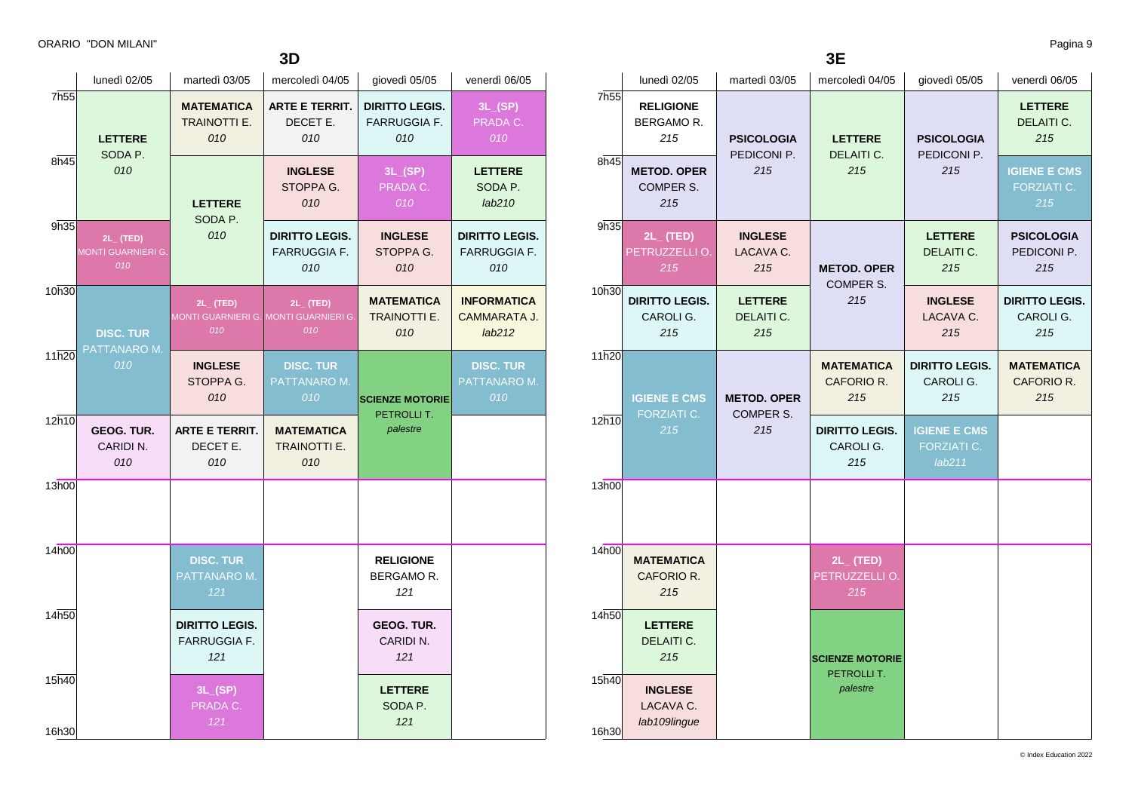**3D**

|                | lunedì 02/05                                   | martedì 03/05                                                  | mercoledì 04/05                                     | giovedì 05/05                                       | venerdì 06/05                                |
|----------------|------------------------------------------------|----------------------------------------------------------------|-----------------------------------------------------|-----------------------------------------------------|----------------------------------------------|
| 7h55           | <b>LETTERE</b>                                 | <b>MATEMATICA</b><br>TRAINOTTI E.<br>010                       | <b>ARTE E TERRIT.</b><br>DECET E.<br>010            | <b>DIRITTO LEGIS.</b><br><b>FARRUGGIA F.</b><br>010 | 3L(SP)<br>PRADA C.<br>010                    |
| 8h45           | SODA P.<br>010                                 | <b>LETTERE</b><br>SODA P.                                      | <b>INGLESE</b><br>STOPPA G.<br>010                  | 3L(SP)<br>PRADA C.<br>010                           | <b>LETTERE</b><br>SODA P.<br>lab210          |
| 9h35           | $2L$ (TED)<br><b>MONTI GUARNIERI G.</b><br>010 | 010                                                            | <b>DIRITTO LEGIS.</b><br><b>FARRUGGIA F.</b><br>010 | <b>INGLESE</b><br>STOPPA G.<br>010                  | <b>DIRITTO LEGIS.</b><br>FARRUGGIA F.<br>010 |
| 10h30          | <b>DISC. TUR</b><br>PATTANARO M.               | $2L_{-}$ (TED)<br>MONTI GUARNIERI G. MONTI GUARNIERI G.<br>010 | $2L_{-}$ (TED)<br>010                               | <b>MATEMATICA</b><br><b>TRAINOTTI E.</b><br>010     | <b>INFORMATICA</b><br>CAMMARATA J.<br>lab212 |
| 11h20          | 010                                            | <b>INGLESE</b><br>STOPPA G.<br>010                             | <b>DISC. TUR</b><br>PATTANARO M.<br>010             | <b>SCIENZE MOTORIE</b><br>PETROLLIT.                | <b>DISC. TUR</b><br>PATTANARO M.<br>010      |
| 12h10          | <b>GEOG. TUR.</b><br>CARIDIN.<br>010           | <b>ARTE E TERRIT.</b><br>DECET E.<br>010                       | <b>MATEMATICA</b><br><b>TRAINOTTI E.</b><br>010     | palestre                                            |                                              |
| 13h00          |                                                |                                                                |                                                     |                                                     |                                              |
| 14h00          |                                                | <b>DISC. TUR</b><br>PATTANARO M.<br>121                        |                                                     | <b>RELIGIONE</b><br>BERGAMOR.<br>121                |                                              |
| 14h50          |                                                | <b>DIRITTO LEGIS.</b><br><b>FARRUGGIA F.</b><br>121            |                                                     | GEOG. TUR.<br>CARIDI N.<br>121                      |                                              |
| 15h40<br>16h30 |                                                | 3L(SP)<br>PRADA C.<br>121                                      |                                                     | <b>LETTERE</b><br>SODA P.<br>121                    |                                              |

**3E**

|                  | lunedì 02/05                                     | martedì 03/05                          | mercoledì 04/05                                                 | giovedì 05/05                                                    | venerdì 06/05                             |
|------------------|--------------------------------------------------|----------------------------------------|-----------------------------------------------------------------|------------------------------------------------------------------|-------------------------------------------|
| 7h <sub>55</sub> | <b>RELIGIONE</b><br>BERGAMO R.<br>215            | <b>PSICOLOGIA</b>                      | <b>LETTERE</b>                                                  | <b>PSICOLOGIA</b>                                                | <b>LETTERE</b><br>DELAITI C.<br>215       |
| 8h45             | <b>METOD. OPER</b><br>COMPER S.<br>215           | PEDICONI P.<br>215                     | DELAITI C.<br>215                                               | PEDICONI P.<br>215                                               | <b>IGIENE E CMS</b><br>FORZIATI C.<br>215 |
| 9h35             | $2L_{-}$ (TED)<br>PETRUZZELLI O.<br>215          | <b>INGLESE</b><br>LACAVA C.<br>215     | <b>METOD. OPER</b><br>COMPER S.                                 | <b>LETTERE</b><br>DELAITI C.<br>215                              | <b>PSICOLOGIA</b><br>PEDICONI P.<br>215   |
| 10h30            | <b>DIRITTO LEGIS.</b><br>CAROLI G.<br>215        | <b>LETTERE</b><br>DELAITI C.<br>215    | 215                                                             | <b>INGLESE</b><br>LACAVA C.<br>215                               | <b>DIRITTO LEGIS.</b><br>CAROLI G.<br>215 |
| 11h20<br>12h10   | <b>IGIENE E CMS</b><br><b>FORZIATI C.</b><br>215 | <b>METOD. OPER</b><br>COMPER S.<br>215 | <b>MATEMATICA</b><br>CAFORIO R.<br>215<br><b>DIRITTO LEGIS.</b> | <b>DIRITTO LEGIS.</b><br>CAROLI G.<br>215<br><b>IGIENE E CMS</b> | <b>MATEMATICA</b><br>CAFORIO R.<br>215    |
|                  |                                                  |                                        | CAROLI G.<br>215                                                | <b>FORZIATI C.</b><br>lab211                                     |                                           |
| 13h00            |                                                  |                                        |                                                                 |                                                                  |                                           |
| 14h00            | <b>MATEMATICA</b><br>CAFORIO R.<br>215           |                                        | $2L_{-}$ (TED)<br>PETRUZZELLI O.<br>215                         |                                                                  |                                           |
| 14h50            | <b>LETTERE</b><br>DELAITI C.<br>215              |                                        | <b>SCIENZE MOTORIE</b>                                          |                                                                  |                                           |
| 15h40<br>16h30   | <b>INGLESE</b><br>LACAVA C.<br>lab109lingue      |                                        | PETROLLIT.<br>palestre                                          |                                                                  |                                           |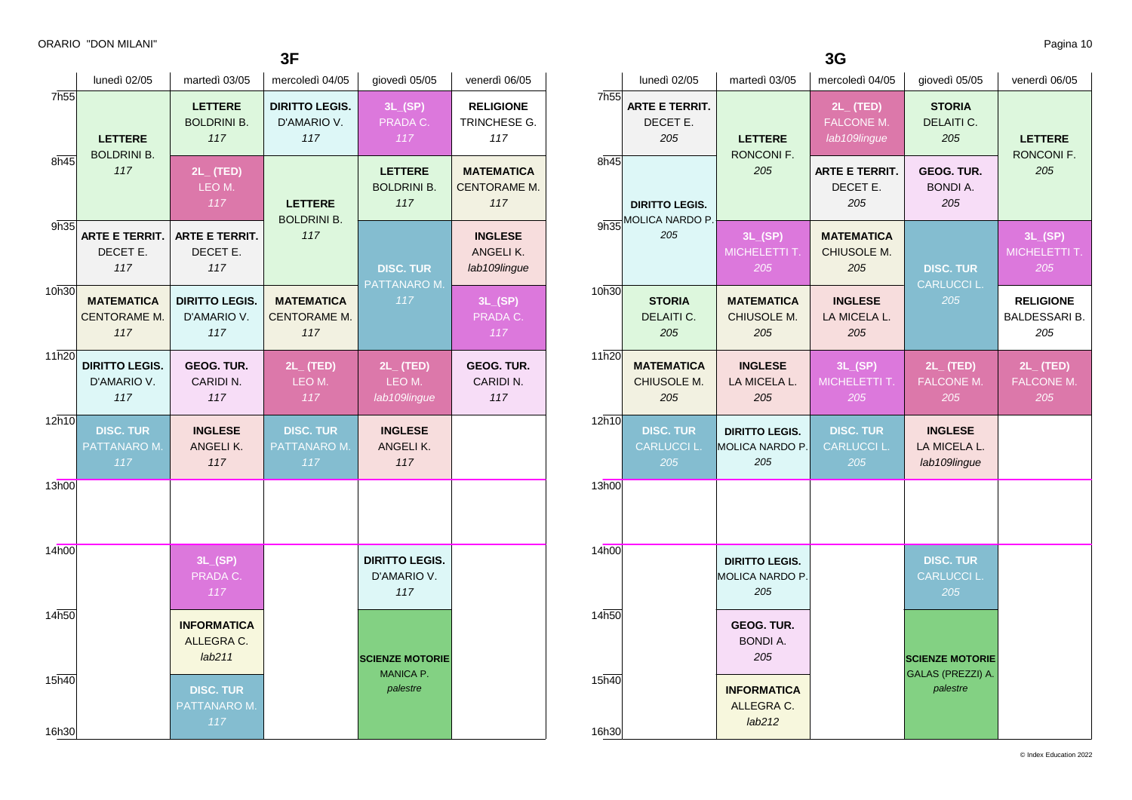**3F**

|                |                                             |                                             | JГ                                              |                                             |                                                 |
|----------------|---------------------------------------------|---------------------------------------------|-------------------------------------------------|---------------------------------------------|-------------------------------------------------|
|                | lunedì 02/05                                | martedì 03/05                               | mercoledì 04/05                                 | giovedì 05/05                               | venerdì 06/05                                   |
| 7h55           | <b>LETTERE</b><br><b>LETTERE</b><br>117     | <b>BOLDRINI B.</b>                          | <b>DIRITTO LEGIS.</b><br>D'AMARIO V.<br>117     | 3L(SP)<br>PRADA C.<br>117                   | <b>RELIGIONE</b><br>TRINCHESE G.<br>117         |
| 8h45           | <b>BOLDRINI B.</b><br>117                   | $2L_{-}$ (TED)<br>LEO M.<br>117             | <b>LETTERE</b><br><b>BOLDRINI B.</b>            | <b>LETTERE</b><br><b>BOLDRINI B.</b><br>117 | <b>MATEMATICA</b><br><b>CENTORAME M.</b><br>117 |
| 9h35           | <b>ARTE E TERRIT.</b><br>DECET E.<br>117    | <b>ARTE E TERRIT.</b><br>DECET E.<br>117    | 117                                             | <b>DISC. TUR</b><br>PATTANARO M.            | <b>INGLESE</b><br>ANGELIK.<br>lab109lingue      |
| 10h30          | <b>MATEMATICA</b><br>CENTORAME M.<br>117    | <b>DIRITTO LEGIS.</b><br>D'AMARIO V.<br>117 | <b>MATEMATICA</b><br><b>CENTORAME M.</b><br>117 | 117                                         | 3L(SP)<br>PRADA C.<br>117                       |
| 11h20          | <b>DIRITTO LEGIS.</b><br>D'AMARIO V.<br>117 | <b>GEOG. TUR.</b><br>CARIDI N.<br>117       | $2L_{-}$ (TED)<br>LEO M.<br>117                 | $2L_{-}$ (TED)<br>LEO M.<br>lab109lingue    | <b>GEOG. TUR.</b><br>CARIDI N.<br>117           |
| 12h10          | <b>DISC. TUR</b><br>PATTANARO M.<br>117     | <b>INGLESE</b><br>ANGELIK.<br>117           | <b>DISC. TUR</b><br>PATTANARO M.<br>117         | <b>INGLESE</b><br>ANGELIK.<br>117           |                                                 |
| 13h00          |                                             |                                             |                                                 |                                             |                                                 |
| 14h00          |                                             | 3L(SP)<br>PRADA C.<br>117                   |                                                 | <b>DIRITTO LEGIS.</b><br>D'AMARIO V.<br>117 |                                                 |
| 14h50          |                                             | <b>INFORMATICA</b><br>ALLEGRA C.<br>lab211  |                                                 | <b>SCIENZE MOTORIE</b>                      |                                                 |
| 15h40<br>16h30 |                                             | <b>DISC. TUR</b><br>PATTANARO M.<br>117     |                                                 | <b>MANICA P.</b><br>palestre                |                                                 |

**3G**

|                  | lunedì 02/05                                  | martedì 03/05                                          | mercoledì 04/05                                     | giovedì 05/05                                  | venerdì 06/05                                   |
|------------------|-----------------------------------------------|--------------------------------------------------------|-----------------------------------------------------|------------------------------------------------|-------------------------------------------------|
| 7h <sub>55</sub> | <b>ARTE E TERRIT.</b><br>DECET E.<br>205      | <b>LETTERE</b><br>RONCONI F.                           | $2L_{-}$ (TED)<br><b>FALCONE M.</b><br>lab109lingue | <b>STORIA</b><br>DELAITI C.<br>205             | <b>LETTERE</b><br>RONCONI F.                    |
| 8h45             | <b>DIRITTO LEGIS.</b>                         | 205                                                    | <b>ARTE E TERRIT.</b><br>DECET E.<br>205            | GEOG. TUR.<br><b>BONDI A.</b><br>205           | 205                                             |
| 9h35             | MOLICA NARDO P.<br>205                        | 3L(SP)<br>MICHELETTI T.<br>205                         | <b>MATEMATICA</b><br>CHIUSOLE M.<br>205             | <b>DISC. TUR</b>                               | 3L(SP)<br>MICHELETTI T.<br>205                  |
| 10h30            | <b>STORIA</b><br>DELAITI C.<br>205            | <b>MATEMATICA</b><br>CHIUSOLE M.<br>205                | <b>INGLESE</b><br>LA MICELA L.<br>205               | <b>CARLUCCI L.</b><br>205                      | <b>RELIGIONE</b><br><b>BALDESSARI B.</b><br>205 |
| 11h20            | <b>MATEMATICA</b><br>CHIUSOLE M.<br>205       | <b>INGLESE</b><br>LA MICELA L.<br>205                  | 3L(SP)<br>MICHELETTI T.<br>205                      | $2L_{-}$ (TED)<br>FALCONE M.<br>205            | $2L$ (TED)<br>FALCONE M.<br>205                 |
| 12h10            | <b>DISC. TUR</b><br><b>CARLUCCI L.</b><br>205 | <b>DIRITTO LEGIS.</b><br>MOLICA NARDO P.<br>205        | <b>DISC. TUR</b><br><b>CARLUCCI L.</b><br>205       | <b>INGLESE</b><br>LA MICELA L.<br>lab109lingue |                                                 |
| 13h00            |                                               |                                                        |                                                     |                                                |                                                 |
| 14h00            |                                               | <b>DIRITTO LEGIS.</b><br><b>MOLICA NARDO P.</b><br>205 |                                                     | <b>DISC. TUR</b><br><b>CARLUCCI L.</b><br>205  |                                                 |
| 14h50            |                                               | GEOG. TUR.<br><b>BONDI A.</b><br>205                   |                                                     | <b>SCIENZE MOTORIE</b>                         |                                                 |
| 15h40<br>16h30   |                                               | <b>INFORMATICA</b><br>ALLEGRA C.<br>lab212             |                                                     | GALAS (PREZZI) A.<br>palestre                  |                                                 |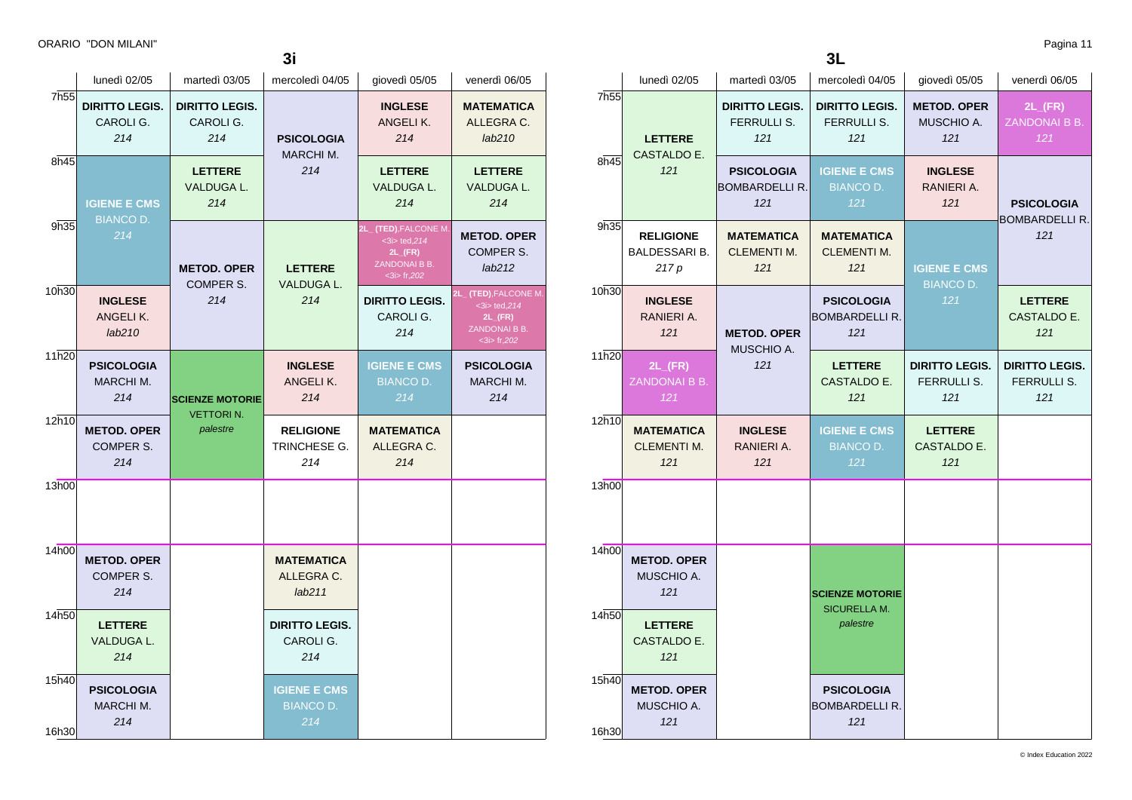|                  |                                              |                                            | 3 <sub>i</sub>                                 |                                                                                             |                                                                                                     |
|------------------|----------------------------------------------|--------------------------------------------|------------------------------------------------|---------------------------------------------------------------------------------------------|-----------------------------------------------------------------------------------------------------|
|                  | lunedì 02/05                                 | martedì 03/05                              | mercoledì 04/05                                | giovedì 05/05                                                                               | venerdì 06/05                                                                                       |
| 7h <sub>55</sub> | <b>DIRITTO LEGIS.</b><br>CAROLI G.<br>214    | <b>DIRITTO LEGIS.</b><br>CAROLI G.<br>214  | <b>PSICOLOGIA</b><br>MARCHI M.                 | <b>INGLESE</b><br>ANGELIK.<br>214                                                           | <b>MATEMATICA</b><br>ALLEGRA C.<br>lab210                                                           |
| 8h45             | <b>IGIENE E CMS</b><br><b>BIANCO D.</b>      | <b>LETTERE</b><br>VALDUGA L.<br>214        | 214                                            | <b>LETTERE</b><br>VALDUGA L.<br>214                                                         | <b>LETTERE</b><br>VALDUGA L.<br>214                                                                 |
| 9h35             | 214                                          | <b>METOD, OPER</b>                         | <b>LETTERE</b><br>VALDUGA L.                   | (TED), FALCONE M<br>$3$ ted, 214<br>$2L$ <sub>(FR)</sub><br>ZANDONAI B B.<br>$<$ 3i> fr,202 | <b>METOD, OPER</b><br>COMPER S.<br>lab212                                                           |
| 10h30            | <b>INGLESE</b><br>ANGELIK.<br>lab210         | COMPER S.<br>214                           | 214                                            | <b>DIRITTO LEGIS.</b><br>CAROLI G.<br>214                                                   | (TED), FALCONE M.<br>21.<br>$3$ ted, 214<br>$2L$ <sub>(FR)</sub><br>ZANDONAI B B.<br>$<$ 3i> fr,202 |
| 11h20            | <b>PSICOLOGIA</b><br><b>MARCHI M.</b><br>214 | <b>SCIENZE MOTORIE</b><br><b>VETTORIN.</b> | <b>INGLESE</b><br>ANGELIK.<br>214              | <b>IGIENE E CMS</b><br><b>BIANCO D.</b><br>214                                              | <b>PSICOLOGIA</b><br><b>MARCHI M.</b><br>214                                                        |
| 12h10            | <b>METOD. OPER</b><br>COMPER S.<br>214       | palestre                                   | <b>RELIGIONE</b><br>TRINCHESE G.<br>214        | <b>MATEMATICA</b><br>ALLEGRA C.<br>214                                                      |                                                                                                     |
| 13h00            |                                              |                                            |                                                |                                                                                             |                                                                                                     |
| 14h00            | <b>METOD. OPER</b><br>COMPER S.<br>214       |                                            | <b>MATEMATICA</b><br>ALLEGRA C.<br>lab211      |                                                                                             |                                                                                                     |
| 14h50            | <b>LETTERE</b><br>VALDUGA L.<br>214          |                                            | <b>DIRITTO LEGIS.</b><br>CAROLI G.<br>214      |                                                                                             |                                                                                                     |
| 15h40<br>16h30   | <b>PSICOLOGIA</b><br>MARCHI M.<br>214        |                                            | <b>IGIENE E CMS</b><br><b>BIANCO D.</b><br>214 |                                                                                             |                                                                                                     |

| v.<br>۰. |  |
|----------|--|

|                  | lunedì 02/05                                      | martedì 03/05                                      | mercoledì 04/05                                   | giovedì 05/05                               | venerdì 06/05                                |
|------------------|---------------------------------------------------|----------------------------------------------------|---------------------------------------------------|---------------------------------------------|----------------------------------------------|
| 7h <sub>55</sub> | <b>LETTERE</b>                                    | <b>DIRITTO LEGIS.</b><br><b>FERRULLI S.</b><br>121 | <b>DIRITTO LEGIS.</b><br>FERRULLI S.<br>121       | <b>METOD. OPER</b><br>MUSCHIO A.<br>121     | $2L$ <sub>(FR)</sub><br>ZANDONAI B B.<br>121 |
| 8h45             | CASTALDO E.<br>121                                | <b>PSICOLOGIA</b><br><b>BOMBARDELLI R.</b><br>121  | <b>IGIENE E CMS</b><br><b>BIANCO D.</b><br>121    | <b>INGLESE</b><br>RANIERI A.<br>121         | <b>PSICOLOGIA</b>                            |
| 9h35             | <b>RELIGIONE</b><br><b>BALDESSARI B.</b><br>217 p | <b>MATEMATICA</b><br><b>CLEMENTI M.</b><br>121     | <b>MATEMATICA</b><br><b>CLEMENTI M.</b><br>121    | <b>IGIENE E CMS</b>                         | <b>BOMBARDELLI R.</b><br>121                 |
| 10h30            | <b>INGLESE</b><br>RANIERI A.<br>121               | <b>METOD. OPER</b>                                 | <b>PSICOLOGIA</b><br><b>BOMBARDELLI R.</b><br>121 | <b>BIANCO D.</b><br>121                     | <b>LETTERE</b><br>CASTALDO E.<br>121         |
| 11h20            | $2L$ <sub>(FR)</sub><br>ZANDONAI B B.<br>121      | MUSCHIO A.<br>121                                  | <b>LETTERE</b><br>CASTALDO E.<br>121              | <b>DIRITTO LEGIS.</b><br>FERRULLI S.<br>121 | <b>DIRITTO LEGIS.</b><br>FERRULLI S.<br>121  |
| 12h10            | <b>MATEMATICA</b><br><b>CLEMENTI M.</b><br>121    | <b>INGLESE</b><br>RANIERI A.<br>121                | <b>IGIENE E CMS</b><br><b>BIANCO D.</b><br>121    | <b>LETTERE</b><br>CASTALDO E.<br>121        |                                              |
| 13h00            |                                                   |                                                    |                                                   |                                             |                                              |
| 14h00            | <b>METOD. OPER</b><br>MUSCHIO A.<br>121           |                                                    | <b>SCIENZE MOTORIE</b>                            |                                             |                                              |
| 14h50            | <b>LETTERE</b><br>CASTALDO E.<br>121              |                                                    | <b>SICURELLA M.</b><br>palestre                   |                                             |                                              |
| 15h40<br>16h30   | <b>METOD. OPER</b><br>MUSCHIO A.<br>121           |                                                    | <b>PSICOLOGIA</b><br><b>BOMBARDELLI R.</b><br>121 |                                             |                                              |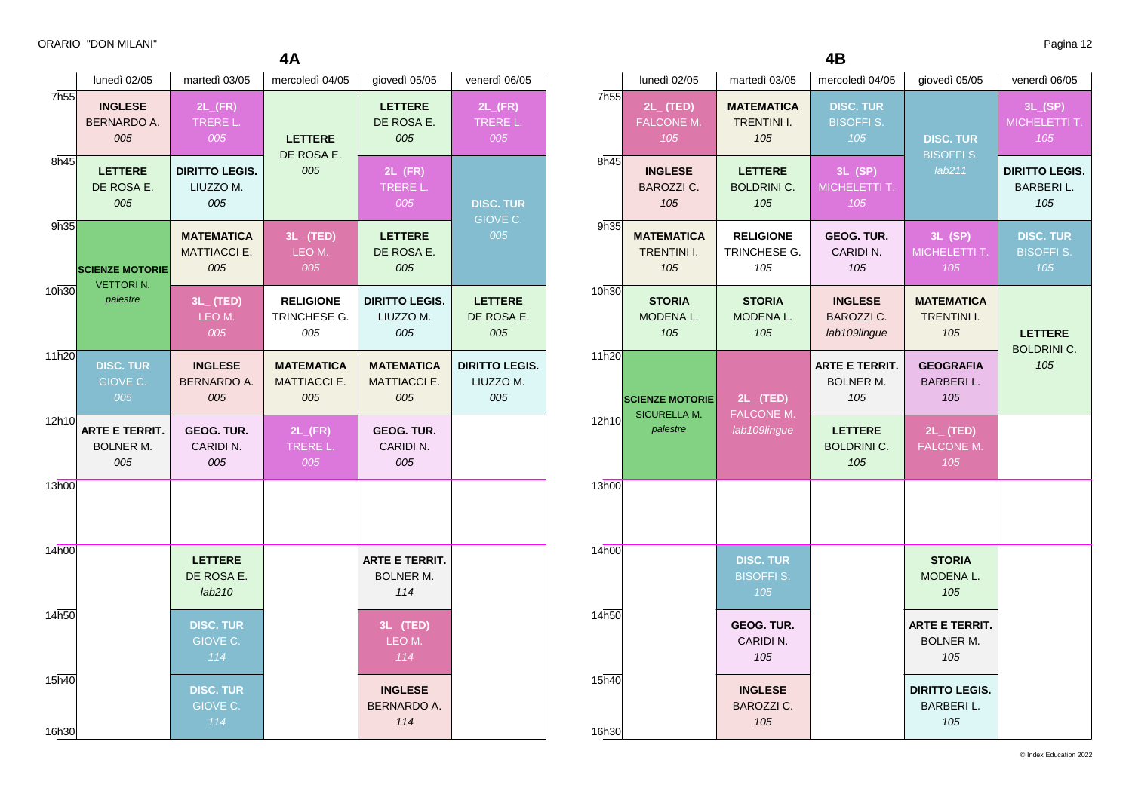|                | lunedì 02/05                                     | martedì 03/05                                   | mercoledì 04/05                                 | giovedì 05/05                                    | venerdì 06/05                             |
|----------------|--------------------------------------------------|-------------------------------------------------|-------------------------------------------------|--------------------------------------------------|-------------------------------------------|
| 7h55           | <b>INGLESE</b><br>BERNARDO A.<br>005             | $2L$ <sub>(FR)</sub><br>TRERE L.<br>005         | <b>LETTERE</b><br>DE ROSA E.                    | <b>LETTERE</b><br>DE ROSA E.<br>005              | $2L$ <sub>(FR)</sub><br>TRERE L.<br>005   |
| 8h45           | <b>LETTERE</b><br>DE ROSA E.<br>005              | <b>DIRITTO LEGIS.</b><br>LIUZZO M.<br>005       | 005                                             | $2L$ <sub>(FR)</sub><br>TRERE L.<br>005          | <b>DISC. TUR</b>                          |
| 9h35           | <b>SCIENZE MOTORIE</b>                           | <b>MATEMATICA</b><br><b>MATTIACCI E.</b><br>005 | $3L_{-}$ (TED)<br>LEO M.<br>005                 | <b>LETTERE</b><br>DE ROSA E.<br>005              | GIOVE C.<br>005                           |
| 10h30          | <b>VETTORIN.</b><br>palestre                     | $3L_{-}$ (TED)<br>LEO M.<br>005                 | <b>RELIGIONE</b><br>TRINCHESE G.<br>005         | <b>DIRITTO LEGIS.</b><br>LIUZZO M.<br>005        | <b>LETTERE</b><br>DE ROSA E.<br>005       |
| 11h20          | <b>DISC. TUR</b><br>GIOVE C.<br>005              | <b>INGLESE</b><br>BERNARDO A.<br>005            | <b>MATEMATICA</b><br><b>MATTIACCI E.</b><br>005 | <b>MATEMATICA</b><br><b>MATTIACCI E.</b><br>005  | <b>DIRITTO LEGIS.</b><br>LIUZZO M.<br>005 |
| 12h10          | <b>ARTE E TERRIT.</b><br><b>BOLNER M.</b><br>005 | GEOG. TUR.<br>CARIDI N.<br>005                  | $2L$ <sub>(FR)</sub><br>TRERE L.<br>005         | <b>GEOG. TUR.</b><br>CARIDI N.<br>005            |                                           |
| 13h00          |                                                  |                                                 |                                                 |                                                  |                                           |
| 14h00          |                                                  | <b>LETTERE</b><br>DE ROSA E.<br>lab210          |                                                 | <b>ARTE E TERRIT.</b><br><b>BOLNER M.</b><br>114 |                                           |
| 14h50          |                                                  | <b>DISC. TUR</b><br>GIOVE C.<br>114             |                                                 | $3L_{-}$ (TED)<br>LEO M.<br>114                  |                                           |
| 15h40<br>16h30 |                                                  | <b>DISC. TUR</b><br>GIOVE C.<br>114             |                                                 | <b>INGLESE</b><br><b>BERNARDO A.</b><br>114      |                                           |

|                  | lunedì 02/05                                   | martedì 03/05                                  | mercoledì 04/05                                     | giovedì 05/05                                    | venerdì 06/05                                    |
|------------------|------------------------------------------------|------------------------------------------------|-----------------------------------------------------|--------------------------------------------------|--------------------------------------------------|
| 7h <sub>55</sub> | $2L_{-}$ (TED)<br><b>FALCONE M.</b><br>105     | <b>MATEMATICA</b><br><b>TRENTINI I.</b><br>105 | <b>DISC. TUR</b><br><b>BISOFFI S.</b><br>105        | <b>DISC. TUR</b>                                 | 3L(SP)<br>MICHELETTI T.<br>105                   |
| 8h45             | <b>INGLESE</b><br><b>BAROZZI C.</b><br>105     | <b>LETTERE</b><br><b>BOLDRINI C.</b><br>105    | 3L(SP)<br>MICHELETTI T.<br>105                      | <b>BISOFFI S.</b><br>lab211                      | <b>DIRITTO LEGIS.</b><br><b>BARBERIL.</b><br>105 |
| 9h35             | <b>MATEMATICA</b><br><b>TRENTINI I.</b><br>105 | <b>RELIGIONE</b><br>TRINCHESE G.<br>105        | GEOG. TUR.<br>CARIDI N.<br>105                      | 3L(SP)<br>MICHELETTI T.<br>105                   | <b>DISC. TUR</b><br><b>BISOFFI S.</b><br>105     |
| 10h30            | <b>STORIA</b><br>MODENA L.<br>105              | <b>STORIA</b><br>MODENA L.<br>105              | <b>INGLESE</b><br><b>BAROZZI C.</b><br>lab109lingue | <b>MATEMATICA</b><br><b>TRENTINI I.</b><br>105   | <b>LETTERE</b>                                   |
| 11h20            | <b>SCIENZE MOTORIE</b><br><b>SICURELLA M.</b>  | $2L_{-}$ (TED)<br>FALCONE M.                   | <b>ARTE E TERRIT.</b><br><b>BOLNER M.</b><br>105    | <b>GEOGRAFIA</b><br><b>BARBERIL.</b><br>105      | <b>BOLDRINI C.</b><br>105                        |
| 12h10            | palestre                                       | lab109lingue                                   | <b>LETTERE</b><br><b>BOLDRINI C.</b><br>105         | $2L_{-}$ (TED)<br><b>FALCONE M.</b><br>105       |                                                  |
| 13h00            |                                                |                                                |                                                     |                                                  |                                                  |
| 14h00            |                                                | <b>DISC. TUR</b><br><b>BISOFFIS.</b><br>105    |                                                     | <b>STORIA</b><br>MODENA L.<br>105                |                                                  |
| 14h50            |                                                | GEOG. TUR.<br>CARIDI N.<br>105                 |                                                     | <b>ARTE E TERRIT.</b><br><b>BOLNER M.</b><br>105 |                                                  |
| 15h40<br>16h30   |                                                | <b>INGLESE</b><br><b>BAROZZI C.</b><br>105     |                                                     | <b>DIRITTO LEGIS.</b><br><b>BARBERIL.</b><br>105 |                                                  |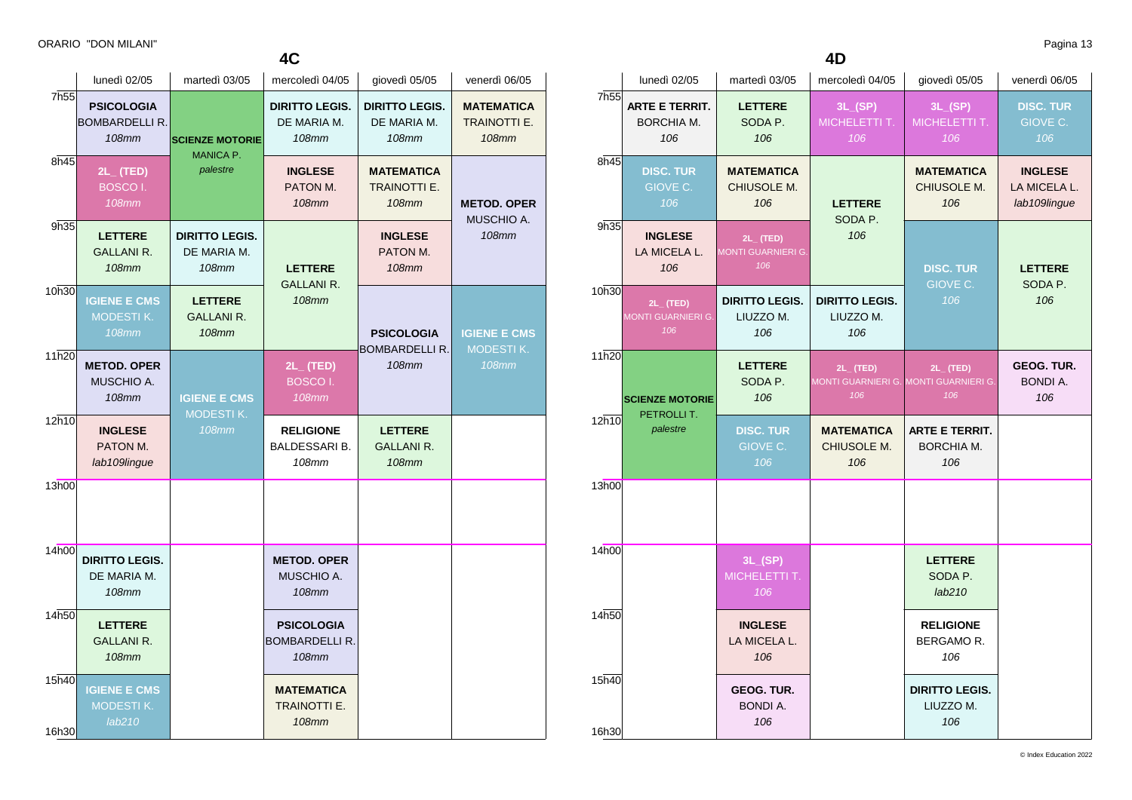**4C**

|                | lunedì 02/05                                               | martedì 03/05                                                                                 | mercoledì 04/05                                          | giovedì 05/05                                            | venerdì 06/05                                            |
|----------------|------------------------------------------------------------|-----------------------------------------------------------------------------------------------|----------------------------------------------------------|----------------------------------------------------------|----------------------------------------------------------|
| 7h55           | <b>PSICOLOGIA</b><br><b>BOMBARDELLI R.</b><br><b>108mm</b> | <b>SCIENZE MOTORIE</b><br><b>MANICA P.</b>                                                    | <b>DIRITTO LEGIS.</b><br>DE MARIA M.<br>108mm            | <b>DIRITTO LEGIS.</b><br>DE MARIA M.<br><b>108mm</b>     | <b>MATEMATICA</b><br><b>TRAINOTTI E.</b><br><b>108mm</b> |
| 8h45           | 2L_(TED)<br><b>BOSCOI.</b><br><b>108mm</b>                 | palestre                                                                                      | <b>INGLESE</b><br>PATON M.<br><b>108mm</b>               | <b>MATEMATICA</b><br><b>TRAINOTTI E.</b><br><b>108mm</b> | <b>METOD. OPER</b><br>MUSCHIO A.                         |
| 9h35           | <b>LETTERE</b><br><b>GALLANI R.</b><br><b>108mm</b>        | <b>DIRITTO LEGIS.</b><br>DE MARIA M.<br>108mm<br><b>LETTERE</b><br><b>GALLANI R.</b><br>108mm | <b>LETTERE</b><br><b>GALLANI R.</b><br><b>108mm</b>      | <b>INGLESE</b><br>PATON M.<br>108mm                      | <b>108mm</b>                                             |
| 10h30          | <b>IGIENE E CMS</b><br><b>MODESTIK.</b><br><b>108mm</b>    |                                                                                               |                                                          | <b>PSICOLOGIA</b>                                        | <b>IGIENE E CMS</b>                                      |
| 11h20          | <b>METOD. OPER</b><br>MUSCHIO A.<br><b>108mm</b>           | <b>IGIENE E CMS</b>                                                                           | $2L_{-}$ (TED)<br>BOSCO <sub>I</sub> .<br><b>108mm</b>   | <b>BOMBARDELLI R.</b><br><b>108mm</b>                    | <b>MODESTIK.</b><br><b>108mm</b>                         |
| 12h10          | <b>INGLESE</b><br>PATON M.<br>lab109lingue                 | MODESTIK.<br><b>108mm</b>                                                                     | <b>RELIGIONE</b><br><b>BALDESSARI B.</b><br>108mm        | <b>LETTERE</b><br><b>GALLANI R.</b><br><b>108mm</b>      |                                                          |
| 13h00          |                                                            |                                                                                               |                                                          |                                                          |                                                          |
| 14h00          | <b>DIRITTO LEGIS.</b><br>DE MARIA M.<br><b>108mm</b>       |                                                                                               | <b>METOD, OPER</b><br>MUSCHIO A.<br>108mm                |                                                          |                                                          |
| 14h50          | <b>LETTERE</b><br><b>GALLANI R.</b><br><b>108mm</b>        |                                                                                               | <b>PSICOLOGIA</b><br><b>BOMBARDELLI R.</b><br>108mm      |                                                          |                                                          |
| 15h40<br>16h30 | <b>IGIENE E CMS</b><br><b>MODESTIK.</b><br>lab210          |                                                                                               | <b>MATEMATICA</b><br><b>TRAINOTTI E.</b><br><b>108mm</b> |                                                          |                                                          |

|                | lunedì 02/05                                       | martedì 03/05                                  | mercoledì 04/05                                                | giovedì 05/05                                     | venerdì 06/05                                  |
|----------------|----------------------------------------------------|------------------------------------------------|----------------------------------------------------------------|---------------------------------------------------|------------------------------------------------|
| 7h55           | <b>ARTE E TERRIT.</b><br><b>BORCHIA M.</b><br>106  | <b>LETTERE</b><br>SODA P.<br>106               | 3L(SP)<br>MICHELETTI T.<br>106                                 | 3L(SP)<br>MICHELETTI T.<br>106                    | <b>DISC. TUR</b><br>GIOVE C.<br>106            |
| 8h45           | <b>DISC. TUR</b><br>GIOVE C.<br>106                | <b>MATEMATICA</b><br>CHIUSOLE M.<br>106        | <b>LETTERE</b><br>SODA P.                                      | <b>MATEMATICA</b><br>CHIUSOLE M.<br>106           | <b>INGLESE</b><br>LA MICELA L.<br>lab109lingue |
| 9h35           | <b>INGLESE</b><br>LA MICELA L.<br>106              | $2L$ (TED)<br><b>MONTI GUARNIERI G.</b><br>106 | 106                                                            | <b>DISC. TUR</b>                                  | <b>LETTERE</b>                                 |
| 10h30          | $2L_{-}$ (TED)<br><b>MONTI GUARNIERI G.</b><br>106 | <b>DIRITTO LEGIS.</b><br>LIUZZO M.<br>106      | <b>DIRITTO LEGIS.</b><br>LIUZZO M.<br>106                      | GIOVE C.<br>106                                   | SODA P.<br>106                                 |
| 11h20          | <b>SCIENZE MOTORIE</b>                             | <b>LETTERE</b><br>SODA P.<br>106               | $2L_{-}$ (TED)<br>MONTI GUARNIERI G. MONTI GUARNIERI G.<br>106 | $2L_{-}$ (TED)<br>106                             | GEOG. TUR.<br><b>BONDI A.</b><br>106           |
| 12h10          | PETROLLIT.<br>palestre                             | <b>DISC. TUR</b><br>GIOVE C.<br>106            | <b>MATEMATICA</b><br>CHIUSOLE M.<br>106                        | <b>ARTE E TERRIT.</b><br><b>BORCHIA M.</b><br>106 |                                                |
| 13h00          |                                                    |                                                |                                                                |                                                   |                                                |
| 14h00          |                                                    | 3L(SP)<br>MICHELETTI T.<br>106                 |                                                                | <b>LETTERE</b><br>SODA P.<br>lab210               |                                                |
| 14h50          |                                                    | <b>INGLESE</b><br>LA MICELA L.<br>106          |                                                                | <b>RELIGIONE</b><br>BERGAMOR.<br>106              |                                                |
| 15h40<br>16h30 |                                                    | <b>GEOG. TUR.</b><br><b>BONDI A.</b><br>106    |                                                                | <b>DIRITTO LEGIS.</b><br>LIUZZO M.<br>106         |                                                |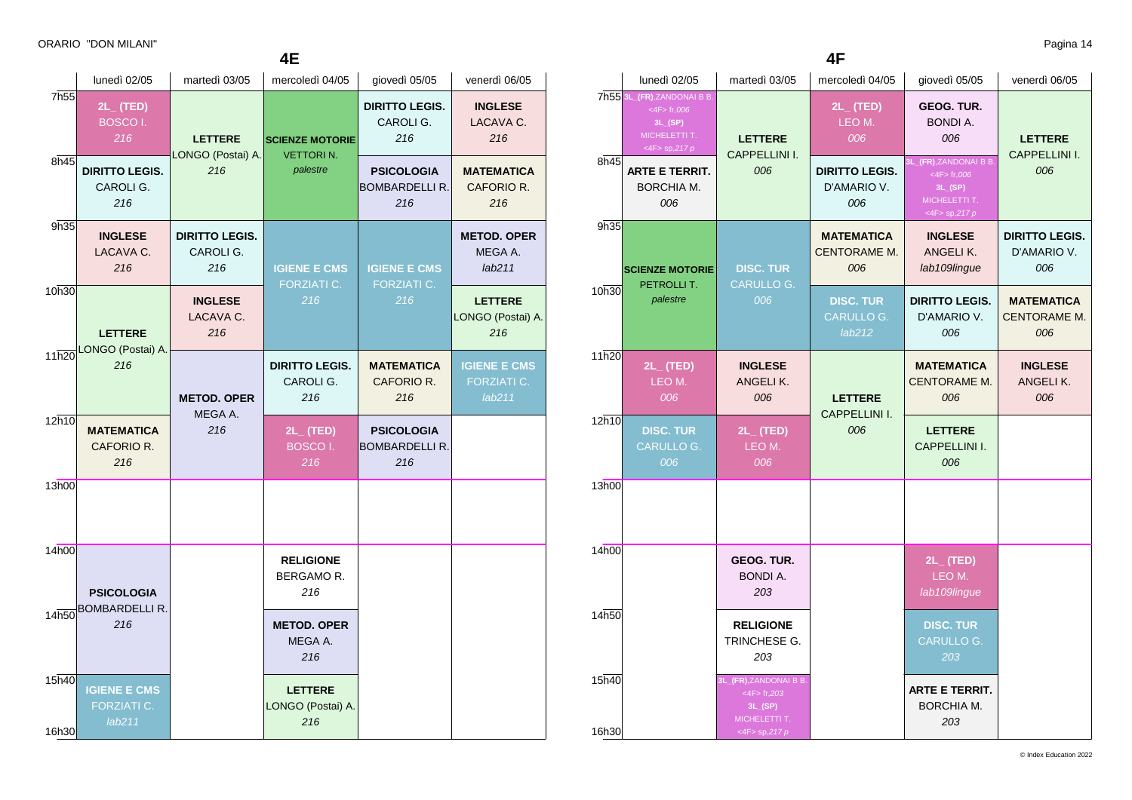| <b>4E</b>                |                                               |                                           |                                                        |                                                  |                                              |  |
|--------------------------|-----------------------------------------------|-------------------------------------------|--------------------------------------------------------|--------------------------------------------------|----------------------------------------------|--|
|                          | lunedì 02/05                                  | martedì 03/05                             | mercoledì 04/05                                        | giovedì 05/05                                    | venerdì 06/05                                |  |
| 7h <sub>55</sub><br>8h45 | $2L_{-}$ (TED)<br>BOSCO <sub>I</sub> .<br>216 | <b>LETTERE</b><br>LONGO (Postai) A.       | <b>SCIENZE MOTORIE</b><br><b>VETTORIN.</b><br>palestre | <b>DIRITTO LEGIS.</b><br>CAROLI G.<br>216        | <b>INGLESE</b><br>LACAVA C.<br>216           |  |
|                          | <b>DIRITTO LEGIS.</b><br>CAROLI G.<br>216     | 216                                       |                                                        | PSICOLOGIA<br><b>BOMBARDELLI R.</b><br>216       | <b>MATEMATICA</b><br>CAFORIO R.<br>216       |  |
| 9h35                     | <b>INGLESE</b><br>LACAVA C.<br>216            | <b>DIRITTO LEGIS.</b><br>CAROLI G.<br>216 | <b>IGIENE E CMS</b><br><b>FORZIATI C.</b><br>216       | <b>IGIENE E CMS</b><br><b>FORZIATI C.</b><br>216 | <b>METOD. OPER</b><br>MEGA A.<br>lab211      |  |
| 10h30                    | <b>LETTERE</b>                                | <b>INGLESE</b><br>LACAVA C.<br>216        |                                                        |                                                  | <b>LETTERE</b><br>LONGO (Postai) A.<br>216   |  |
| 11h20                    | LONGO (Postai) A.<br>216                      | <b>METOD. OPER</b><br>MEGA A.             | <b>DIRITTO LEGIS.</b><br>CAROLI G.<br>216              | <b>MATEMATICA</b><br>CAFORIO R.<br>216           | <b>IGIENE E CMS</b><br>FORZIATI C.<br>lab211 |  |
| 12h10                    | <b>MATEMATICA</b><br>CAFORIO R.<br>216        | 216                                       | $2L_{-}$ (TED)<br>BOSCO <sub>I</sub> .<br>216          | PSICOLOGIA<br><b>BOMBARDELLI R.</b><br>216       |                                              |  |
| 13h00                    |                                               |                                           |                                                        |                                                  |                                              |  |
| 14h00                    | <b>PSICOLOGIA</b><br><b>BOMBARDELLI R.</b>    |                                           | <b>RELIGIONE</b><br><b>BERGAMOR.</b><br>216            |                                                  |                                              |  |
| 14h50                    | 216                                           |                                           | <b>METOD, OPER</b><br>MEGA A.<br>216                   |                                                  |                                              |  |
| 15h40<br>16h30           | <b>IGIENE E CMS</b><br>FORZIATI C.<br>lab211  |                                           | <b>LETTERE</b><br>LONGO (Postai) A.<br>216             |                                                  |                                              |  |

**4F**

|                | lunedì 02/05                                                                                   | martedì 03/05                                                                                   | mercoledì 04/05                                 | giovedì 05/05                                                                               | venerdì 06/05                               |  |
|----------------|------------------------------------------------------------------------------------------------|-------------------------------------------------------------------------------------------------|-------------------------------------------------|---------------------------------------------------------------------------------------------|---------------------------------------------|--|
|                | 7h55 3L_(FR), ZANDONAI B B<br>$<$ 4F $>$ fr, 006<br>3L(SP)<br>MICHELETTI T.<br><4F> sp,217 $p$ | <b>LETTERE</b>                                                                                  | $2L$ (TED)<br>LEO M.<br>006                     | <b>GEOG. TUR.</b><br><b>BONDI A.</b><br>006                                                 | <b>LETTERE</b>                              |  |
| 8h45           | <b>ARTE E TERRIT.</b><br>BORCHIA M.<br>006                                                     | <b>CAPPELLINI I.</b><br>006                                                                     | <b>DIRITTO LEGIS.</b><br>D'AMARIO V.<br>006     | 3L_(FR),ZANDONAI B B.<br>$<$ 4F $>$ fr,006<br>3L(SP)<br>MICHELETTI T.<br>$<$ 4F> sp,217 $p$ | <b>CAPPELLINI I.</b><br>006                 |  |
| 9h35           | <b>SCIENZE MOTORIE</b><br>PETROLLIT.                                                           | <b>DISC. TUR</b><br><b>CARULLO G.</b>                                                           | <b>MATEMATICA</b><br><b>CENTORAME M.</b><br>006 | <b>INGLESE</b><br>ANGELIK.<br>lab109lingue                                                  | <b>DIRITTO LEGIS.</b><br>D'AMARIO V.<br>006 |  |
| 10h30          | palestre                                                                                       | 006                                                                                             | <b>DISC. TUR</b><br><b>CARULLO G.</b><br>lab212 | <b>DIRITTO LEGIS.</b><br>D'AMARIO V.<br>006                                                 | <b>MATEMATICA</b><br>CENTORAME M.<br>006    |  |
| 11h20          | $2L_{-}$ (TED)<br>LEO M.<br>006                                                                | <b>INGLESE</b><br>ANGELI K.<br>006                                                              | <b>LETTERE</b><br><b>CAPPELLINI I.</b><br>006   | <b>MATEMATICA</b><br><b>CENTORAME M.</b><br>006                                             | <b>INGLESE</b><br>ANGELIK.<br>006           |  |
| 12h10          | <b>DISC. TUR</b><br>CARULLO G.<br>006                                                          | $2L_{-}$ (TED)<br>LEO M.<br>006                                                                 |                                                 | <b>LETTERE</b><br>CAPPELLINI I.<br>006                                                      |                                             |  |
| 13h00          |                                                                                                |                                                                                                 |                                                 |                                                                                             |                                             |  |
| 14h00          |                                                                                                | <b>GEOG. TUR.</b><br><b>BONDI A.</b><br>203                                                     |                                                 | $2L_{-}$ (TED)<br>LEO M.<br>lab109lingue                                                    |                                             |  |
| 14h50          |                                                                                                | <b>RELIGIONE</b><br>TRINCHESE G.<br>203                                                         |                                                 | <b>DISC. TUR</b><br><b>CARULLO G.</b><br>203                                                |                                             |  |
| 15h40<br>16h30 |                                                                                                | 3L_(FR),ZANDONAI B B.<br>$<$ 4F $>$ fr, 203<br>3L(SP)<br>MICHELETTI T.<br><4F> sp,2 <i>17 p</i> |                                                 | <b>ARTE E TERRIT.</b><br>BORCHIA M.<br>203                                                  |                                             |  |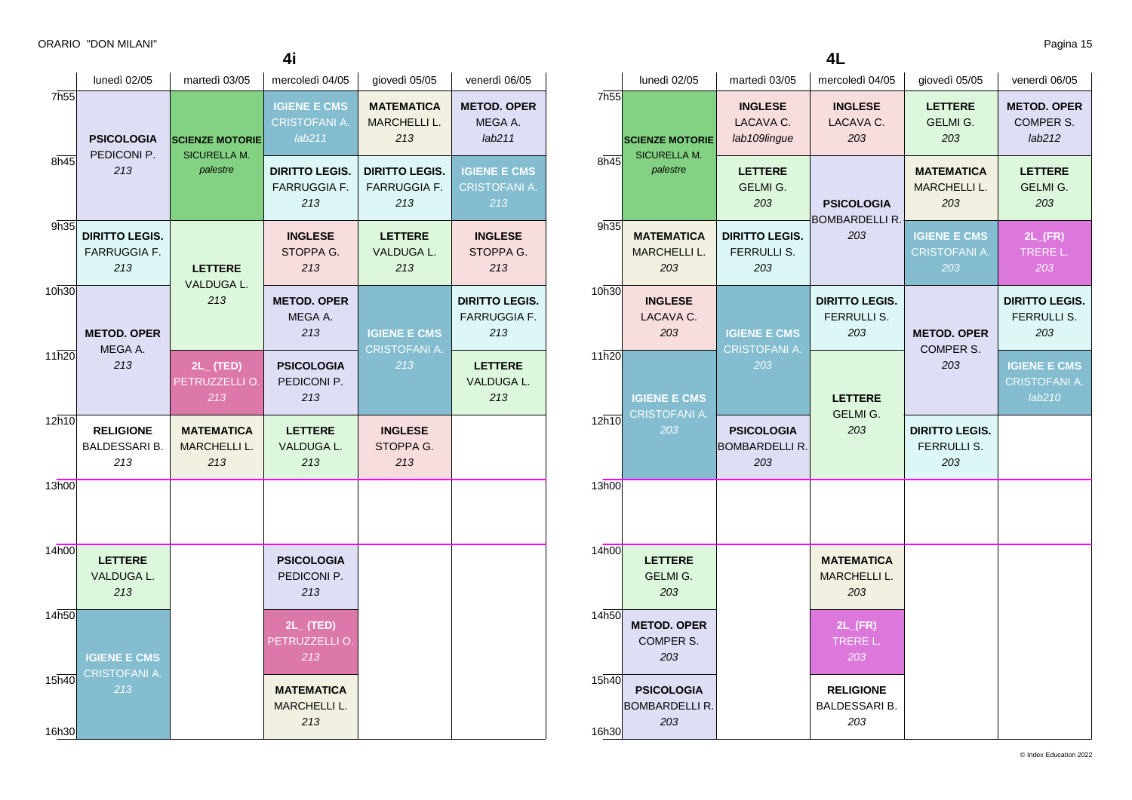| 4i             |                                                     |                                                           |                                                       |                                                     |                                                     |  |
|----------------|-----------------------------------------------------|-----------------------------------------------------------|-------------------------------------------------------|-----------------------------------------------------|-----------------------------------------------------|--|
|                | lunedì 02/05                                        | martedì 03/05                                             | mercoledì 04/05                                       | giovedì 05/05                                       | venerdì 06/05                                       |  |
| 7h55           | <b>PSICOLOGIA</b>                                   | <b>SCIENZE MOTORIE</b><br><b>SICURELLA M.</b><br>palestre | <b>IGIENE E CMS</b><br><b>CRISTOFANI A.</b><br>lab211 | <b>MATEMATICA</b><br><b>MARCHELLI L.</b><br>213     | <b>METOD. OPER</b><br>MEGA A.<br>lab211             |  |
| 8h45           | PEDICONI P.<br>213                                  |                                                           | <b>DIRITTO LEGIS.</b><br><b>FARRUGGIA F.</b><br>213   | <b>DIRITTO LEGIS.</b><br><b>FARRUGGIA F.</b><br>213 | <b>IGIENE E CMS</b><br><b>CRISTOFANI A.</b><br>213  |  |
| 9h35           | <b>DIRITTO LEGIS.</b><br><b>FARRUGGIA F.</b><br>213 | <b>LETTERE</b><br><b>VALDUGA L.</b>                       | <b>INGLESE</b><br>STOPPA G.<br>213                    | <b>LETTERE</b><br><b>VALDUGA L.</b><br>213          | <b>INGLESE</b><br>STOPPA G.<br>213                  |  |
| 10h30          | <b>METOD, OPER</b><br>MEGA A.                       | 213                                                       | <b>METOD, OPER</b><br>MEGA A.<br>213                  | <b>IGIENE E CMS</b><br><b>CRISTOFANI A.</b>         | <b>DIRITTO LEGIS.</b><br><b>FARRUGGIA F.</b><br>213 |  |
| 11h20          | 213                                                 | $2L$ (TED)<br>PETRUZZELLI O.<br>213                       | <b>PSICOLOGIA</b><br>PEDICONI P.<br>213               | 213                                                 | <b>LETTERE</b><br>VALDUGA L.<br>213                 |  |
| 12h10          | <b>RELIGIONE</b><br>BALDESSARI B.<br>213            | <b>MATEMATICA</b><br><b>MARCHELLI L.</b><br>213           | <b>LETTERE</b><br>VALDUGA L.<br>213                   | <b>INGLESE</b><br>STOPPA G.<br>213                  |                                                     |  |
| 13h00          |                                                     |                                                           |                                                       |                                                     |                                                     |  |
| 14h00          | <b>LETTERE</b><br>VALDUGA L.<br>213                 |                                                           | <b>PSICOLOGIA</b><br>PEDICONI P.<br>213               |                                                     |                                                     |  |
| 14h50          | <b>IGIENE E CMS</b><br><b>CRISTOFANI A.</b>         |                                                           | $2L_{-}$ (TED)<br>PETRUZZELLI O.<br>213               |                                                     |                                                     |  |
| 15h40<br>16h30 | 213                                                 |                                                           | <b>MATEMATICA</b><br><b>MARCHELLI L.</b><br>213       |                                                     |                                                     |  |

**4L**

|                  | lunedì 02/05                                      | martedì 03/05                                      | mercoledì 04/05                                 | giovedì 05/05                                   | venerdì 06/05                                  |
|------------------|---------------------------------------------------|----------------------------------------------------|-------------------------------------------------|-------------------------------------------------|------------------------------------------------|
| 7h <sub>55</sub> | <b>SCIENZE MOTORIE</b>                            | <b>INGLESE</b><br>LACAVA C.<br>lab109lingue        | <b>INGLESE</b><br>LACAVA C.<br>203              | <b>LETTERE</b><br>GELMI G.<br>203               | <b>METOD. OPER</b><br>COMPER S.<br>lab212      |
| 8h45             | <b>SICURELLA M.</b><br>palestre                   | <b>LETTERE</b><br>GELMI G.<br>203                  | <b>PSICOLOGIA</b><br>BOMBARDELLI R.             | <b>MATEMATICA</b><br><b>MARCHELLI L.</b><br>203 | <b>LETTERE</b><br><b>GELMI G.</b><br>203       |
| 9h35             | <b>MATEMATICA</b><br><b>MARCHELLI L.</b><br>203   | <b>DIRITTO LEGIS.</b><br><b>FERRULLI S.</b><br>203 | 203                                             | <b>IGIENE E CMS</b><br>CRISTOFANI A.<br>203     | $2L$ <sub>(FR)</sub><br>TRERE L.<br>203        |
| 10h30            | <b>INGLESE</b><br>LACAVA C.<br>203                | <b>IGIENE E CMS</b>                                | <b>DIRITTO LEGIS.</b><br>FERRULLI S.<br>203     | <b>METOD. OPER</b><br>COMPER S.                 | <b>DIRITTO LEGIS.</b><br>FERRULLI S.<br>203    |
| 11h20            | <b>IGIENE E CMS</b>                               | CRISTOFANI A.<br>203                               | <b>LETTERE</b><br>GELMI G.<br>203               | 203                                             | <b>IGIENE E CMS</b><br>CRISTOFANI A.<br>lab210 |
| 12h10            | CRISTOFANI A.<br>203                              | <b>PSICOLOGIA</b><br><b>BOMBARDELLI R.</b><br>203  |                                                 | <b>DIRITTO LEGIS.</b><br>FERRULLI S.<br>203     |                                                |
| 13h00            |                                                   |                                                    |                                                 |                                                 |                                                |
| 14h00            | <b>LETTERE</b><br>GELMI G.<br>203                 |                                                    | <b>MATEMATICA</b><br><b>MARCHELLI L.</b><br>203 |                                                 |                                                |
| 14h50            | <b>METOD. OPER</b><br>COMPER S.<br>203            |                                                    | $2L$ <sub>(FR)</sub><br>TRERE L.<br>203         |                                                 |                                                |
| 15h40<br>16h30   | <b>PSICOLOGIA</b><br><b>BOMBARDELLI R.</b><br>203 |                                                    | <b>RELIGIONE</b><br><b>BALDESSARI B.</b><br>203 |                                                 |                                                |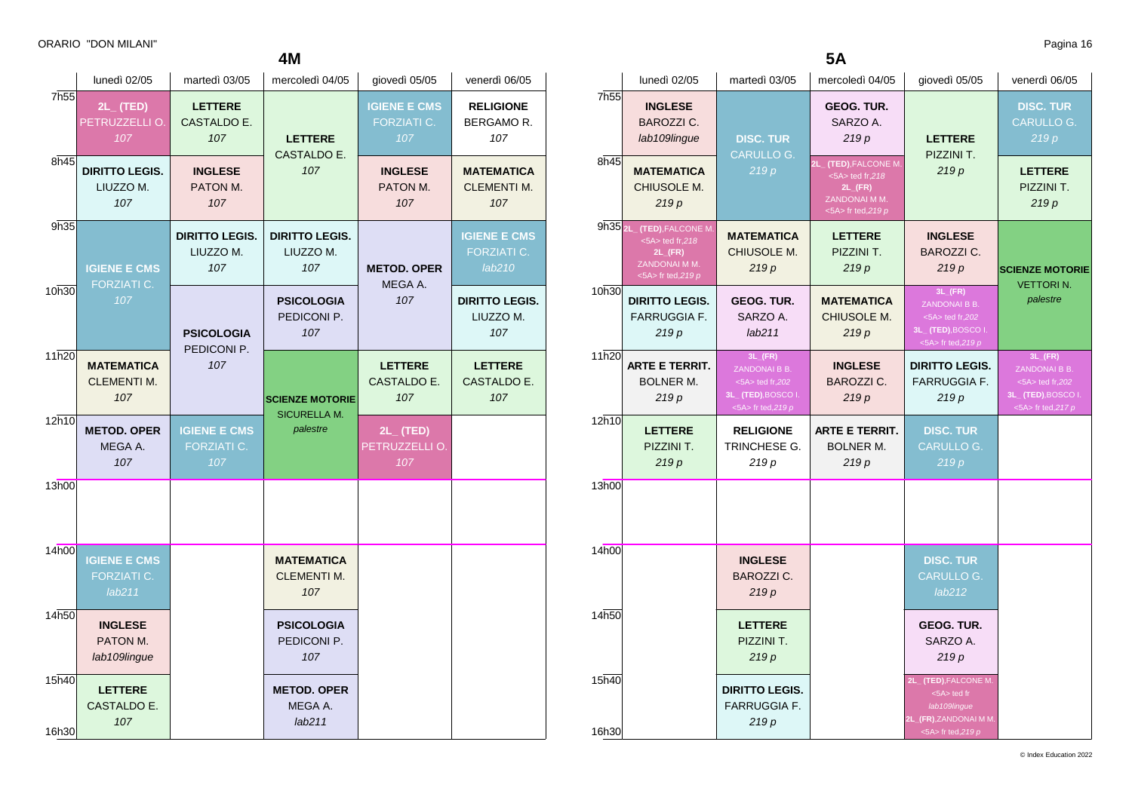|                | lunedì 02/05                                   | martedì 03/05                             | mercoledì 04/05                                | giovedì 05/05                                    | venerdì 06/05                                       |
|----------------|------------------------------------------------|-------------------------------------------|------------------------------------------------|--------------------------------------------------|-----------------------------------------------------|
| 7h55           | $2L_{-}$ (TED)<br>PETRUZZELLI O.<br>107        | <b>LETTERE</b><br>CASTALDO E.<br>107      | <b>LETTERE</b><br><b>CASTALDO E.</b><br>107    | <b>IGIENE E CMS</b><br><b>FORZIATI C.</b><br>107 | <b>RELIGIONE</b><br>BERGAMOR.<br>107                |
| 8h45           | <b>DIRITTO LEGIS.</b><br>LIUZZO M.<br>107      | <b>INGLESE</b><br>PATON M.<br>107         |                                                | <b>INGLESE</b><br>PATON M.<br>107                | <b>MATEMATICA</b><br><b>CLEMENTI M.</b><br>107      |
| 9h35           | <b>IGIENE E CMS</b><br><b>FORZIATI C.</b>      | <b>DIRITTO LEGIS.</b><br>LIUZZO M.<br>107 | <b>DIRITTO LEGIS.</b><br>LIUZZO M.<br>107      | <b>METOD. OPER</b><br>MEGA A.                    | <b>IGIENE E CMS</b><br><b>FORZIATI C.</b><br>lab210 |
| 10h30          | 107                                            | <b>PSICOLOGIA</b>                         | <b>PSICOLOGIA</b><br>PEDICONI P.<br>107        | 107                                              | <b>DIRITTO LEGIS.</b><br>LIUZZO M.<br>107           |
| 11h20          | <b>MATEMATICA</b><br><b>CLEMENTI M.</b><br>107 | PEDICONI P.<br>107                        | <b>SCIENZE MOTORIE</b>                         | <b>LETTERE</b><br>CASTALDO E.<br>107             | <b>LETTERE</b><br>CASTALDO E.<br>107                |
| 12h10          | <b>METOD. OPER</b><br>MEGA A.<br>107           | <b>IGIENE E CMS</b><br>FORZIATI C.<br>107 | <b>SICURELLA M.</b><br>palestre                | $2L_{-}$ (TED)<br>PETRUZZELLI O.<br>107          |                                                     |
| 13h00          |                                                |                                           |                                                |                                                  |                                                     |
| 14h00          | <b>IGIENE E CMS</b><br>FORZIATI C.<br>lab211   |                                           | <b>MATEMATICA</b><br><b>CLEMENTI M.</b><br>107 |                                                  |                                                     |
| 14h50          | <b>INGLESE</b><br>PATON M.<br>lab109lingue     |                                           | <b>PSICOLOGIA</b><br>PEDICONI P.<br>107        |                                                  |                                                     |
| 15h40<br>16h30 | <b>LETTERE</b><br>CASTALDO E.<br>107           |                                           | <b>METOD. OPER</b><br>MEGA A.<br>lab211        |                                                  |                                                     |

| ,,,,,          | <b>INGLESE</b><br><b>BAROZZI C.</b><br>lab109lingue                                                                             | <b>DISC. TUR</b>                                                                                          | <b>GEOG. TUR.</b><br>SARZO A.<br>219p                                                                          | <b>LETTERE</b>                                                                                                     | <b>DISC. TUR</b><br><b>CARULLO G.</b><br>219p                                                          |
|----------------|---------------------------------------------------------------------------------------------------------------------------------|-----------------------------------------------------------------------------------------------------------|----------------------------------------------------------------------------------------------------------------|--------------------------------------------------------------------------------------------------------------------|--------------------------------------------------------------------------------------------------------|
| 8h45           | <b>MATEMATICA</b><br>CHIUSOLE M.<br>219p                                                                                        | <b>CARULLO G.</b><br>219p                                                                                 | (TED), FALCONE M.<br>21.<br>$<5A>$ ted fr, 218<br>$2L$ <sub>(FR)</sub><br>ZANDONAI M M.<br><5A> fr ted, $219p$ | PIZZINI T.<br>219p                                                                                                 | <b>LETTERE</b><br>PIZZINI T.<br>219p                                                                   |
|                | 9h35 <sub>2L</sub> (TED), FALCONE M.<br>$\leq 5A$ ted fr, 218<br>$2L$ <sub>(FR)</sub><br>ZANDONAI M M.<br>$<$ 5A> fr ted, 219 p | <b>MATEMATICA</b><br>CHIUSOLE M.<br>219p                                                                  | <b>LETTERE</b><br>PIZZINI T.<br>219p                                                                           | <b>INGLESE</b><br><b>BAROZZI C.</b><br>219p                                                                        | <b>SCIENZE MOTORIE</b><br><b>VETTORIN.</b>                                                             |
| 10h30          | <b>DIRITTO LEGIS.</b><br><b>FARRUGGIA F.</b><br>219p                                                                            | GEOG. TUR.<br>SARZO A.<br>lab211                                                                          | <b>MATEMATICA</b><br>CHIUSOLE M.<br>219p                                                                       | $3L$ <sub>(FR)</sub><br>ZANDONAI B B.<br><5A> ted fr,202<br>3L <sub>_</sub> (TED), BOSCO I.<br><5A> fr ted, $219p$ | palestre                                                                                               |
| 11h20          | <b>ARTE E TERRIT.</b><br><b>BOLNER M.</b><br>219p                                                                               | $3L$ <sub>(FR)</sub><br>ZANDONAI B B.<br>$<5A>$ ted fr, 202<br>3L_(TED), BOSCO I.<br>$<$ 5A> fr ted,219 p | <b>INGLESE</b><br><b>BAROZZI C.</b><br>219p                                                                    | <b>DIRITTO LEGIS.</b><br><b>FARRUGGIA F.</b><br>219p                                                               | $3L$ <sub>(FR)</sub><br>ZANDONAI B B.<br><5A> ted fr,202<br>3L_(TED), BOSCO I.<br><5A> fr ted, $217 p$ |
| 12h10          | <b>LETTERE</b><br>PIZZINI T.<br>219p                                                                                            | <b>RELIGIONE</b><br>TRINCHESE G.<br>219 p                                                                 | <b>ARTE E TERRIT.</b><br><b>BOLNER M.</b><br>219p                                                              | <b>DISC. TUR</b><br><b>CARULLO G.</b><br>219p                                                                      |                                                                                                        |
| 13h00          |                                                                                                                                 |                                                                                                           |                                                                                                                |                                                                                                                    |                                                                                                        |
| 14h00          |                                                                                                                                 | <b>INGLESE</b><br><b>BAROZZI C.</b><br>219p                                                               |                                                                                                                | <b>DISC. TUR</b><br>CARULLO G.<br>lab212                                                                           |                                                                                                        |
| 14h50          |                                                                                                                                 | <b>LETTERE</b><br>PIZZINI T.<br>219p                                                                      |                                                                                                                | <b>GEOG. TUR.</b><br>SARZO A.<br>219p                                                                              |                                                                                                        |
| 15h40<br>16h30 |                                                                                                                                 | <b>DIRITTO LEGIS.</b><br><b>FARRUGGIA F.</b><br>219p                                                      |                                                                                                                | 2L_(TED), FALCONE M.<br><5A> ted fr<br>lab109lingue<br>2L_(FR), ZANDONAI M M.<br><5A> fr ted, $219p$               |                                                                                                        |

**5A**

7h55

lunedì 02/05 martedì 03/05 mercoledì 04/05 giovedì 05/05 venerdì 06/05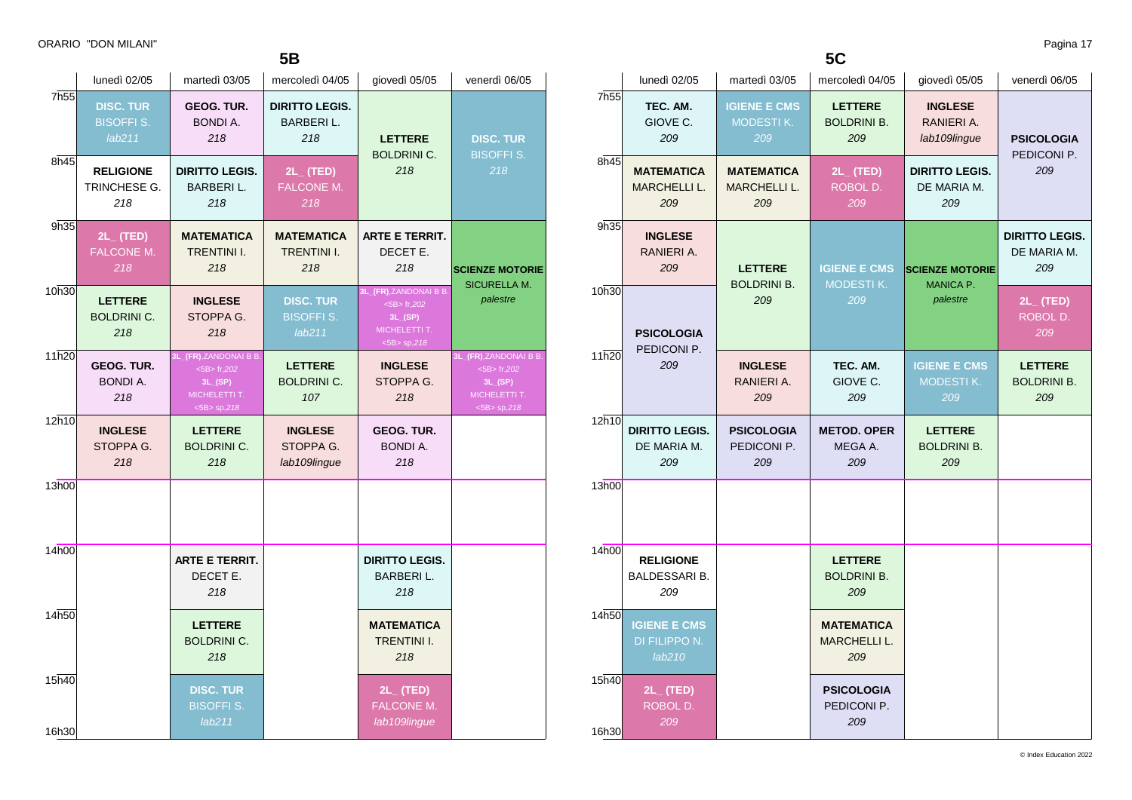|                  | lunedì 02/05                                   | martedì 03/05                                                                           | mercoledì 04/05                                  | giovedì 05/05                                                                                 | venerdì 06/05                                                                           |
|------------------|------------------------------------------------|-----------------------------------------------------------------------------------------|--------------------------------------------------|-----------------------------------------------------------------------------------------------|-----------------------------------------------------------------------------------------|
| 7h <sub>55</sub> | <b>DISC. TUR</b><br><b>BISOFFIS.</b><br>lab211 | GEOG. TUR.<br><b>BONDI A.</b><br>218                                                    | <b>DIRITTO LEGIS.</b><br><b>BARBERIL.</b><br>218 | <b>LETTERE</b><br><b>BOLDRINI C.</b>                                                          | <b>DISC. TUR</b><br><b>BISOFFI S.</b><br>218                                            |
| 8h45             | <b>RELIGIONE</b><br>TRINCHESE G.<br>218        | <b>DIRITTO LEGIS.</b><br><b>BARBERIL.</b><br>218                                        | $2L_{-}$ (TED)<br><b>FALCONE M.</b><br>218       | 218                                                                                           |                                                                                         |
| 9h35             | $2L$ (TED)<br><b>FALCONE M.</b><br>218         | <b>MATEMATICA</b><br><b>TRENTINI I.</b><br>218                                          | <b>MATEMATICA</b><br><b>TRENTINI I.</b><br>218   | <b>ARTE E TERRIT.</b><br>DECET E.<br>218                                                      | <b>SCIENZE MOTORIE</b><br><b>SICURELLA M.</b>                                           |
| 10h30            | <b>LETTERE</b><br><b>BOLDRINI C.</b><br>218    | <b>INGLESE</b><br>STOPPA G.<br>218                                                      | <b>DISC. TUR</b><br><b>BISOFFI S.</b><br>lab211  | 3L_(FR),ZANDONAI B B.<br>$<$ 5B $>$ fr,202<br>$3L_{-}(SP)$<br>MICHELETTI T.<br>$<$ 5B> sp,218 | palestre                                                                                |
| 11h20            | <b>GEOG. TUR.</b><br><b>BONDI A.</b><br>218    | 3L_(FR),ZANDONAI B B.<br>$<$ 5B $>$ fr,202<br>3L(SP)<br>MICHELETTI T.<br>$<$ 5B> sp,218 | <b>LETTERE</b><br><b>BOLDRINI C.</b><br>107      | <b>INGLESE</b><br>STOPPA G.<br>218                                                            | 3L_(FR),ZANDONAI B B.<br>$<$ 5B $>$ fr,202<br>3L(SP)<br>MICHELETTI T.<br>$<$ 5B> sp,218 |
| 12h10            | <b>INGLESE</b><br>STOPPA G.<br>218             | <b>LETTERE</b><br><b>BOLDRINI C.</b><br>218                                             | <b>INGLESE</b><br>STOPPA G.<br>lab109lingue      | <b>GEOG. TUR.</b><br><b>BONDI A.</b><br>218                                                   |                                                                                         |
| 13h00            |                                                |                                                                                         |                                                  |                                                                                               |                                                                                         |
| 14h00            |                                                | <b>ARTE E TERRIT.</b><br>DECET E.<br>218                                                |                                                  | <b>DIRITTO LEGIS.</b><br><b>BARBERIL.</b><br>218                                              |                                                                                         |
| 14h50            |                                                | <b>LETTERE</b><br><b>BOLDRINI C.</b><br>218                                             |                                                  | <b>MATEMATICA</b><br><b>TRENTINI I.</b><br>218                                                |                                                                                         |
| 15h40<br>16h30   |                                                | <b>DISC. TUR</b><br><b>BISOFFI S.</b><br>lab211                                         |                                                  | $2L$ (TED)<br>FALCONE M.<br>lab109lingue                                                      |                                                                                         |

| 7h55           | TEC. AM.<br>GIOVE C.<br>209                     | <b>IGIENE E CMS</b><br>MODESTIK.<br>209         | <b>LETTERE</b><br><b>BOLDRINI B.</b><br>209     | <b>INGLESE</b><br>RANIERI A.<br>lab109lingue   | <b>PSICOLOGIA</b><br>PEDICONI P.            |
|----------------|-------------------------------------------------|-------------------------------------------------|-------------------------------------------------|------------------------------------------------|---------------------------------------------|
| 8h45           | <b>MATEMATICA</b><br><b>MARCHELLI L.</b><br>209 | <b>MATEMATICA</b><br><b>MARCHELLI L.</b><br>209 | $2L_{-}$ (TED)<br>ROBOL D.<br>209               | <b>DIRITTO LEGIS.</b><br>DE MARIA M.<br>209    | 209                                         |
| 9h35           | <b>INGLESE</b><br>RANIERI A.<br>209             | <b>LETTERE</b><br><b>BOLDRINI B.</b>            | <b>IGIENE E CMS</b><br><b>MODESTIK.</b>         | <b>SCIENZE MOTORIE</b><br><b>MANICA P.</b>     | <b>DIRITTO LEGIS.</b><br>DE MARIA M.<br>209 |
| 10h30          | <b>PSICOLOGIA</b><br>PEDICONI P.                | 209                                             | 209                                             | palestre                                       | $2L_{-}$ (TED)<br>ROBOL D.<br>209           |
| 11h20          | 209                                             | <b>INGLESE</b><br>RANIERI A.<br>209             | TEC. AM.<br>GIOVE C.<br>209                     | <b>IGIENE E CMS</b><br><b>MODESTIK.</b><br>209 | <b>LETTERE</b><br><b>BOLDRINI B.</b><br>209 |
| 12h10          | <b>DIRITTO LEGIS.</b><br>DE MARIA M.<br>209     | <b>PSICOLOGIA</b><br>PEDICONI P.<br>209         | <b>METOD, OPER</b><br>MEGA A.<br>209            | <b>LETTERE</b><br><b>BOLDRINI B.</b><br>209    |                                             |
| 13h00          |                                                 |                                                 |                                                 |                                                |                                             |
| 14h00          | <b>RELIGIONE</b><br><b>BALDESSARI B.</b><br>209 |                                                 | <b>LETTERE</b><br><b>BOLDRINI B.</b><br>209     |                                                |                                             |
| 14h50          | <b>IGIENE E CMS</b><br>DI FILIPPO N.<br>lab210  |                                                 | <b>MATEMATICA</b><br><b>MARCHELLI L.</b><br>209 |                                                |                                             |
| 15h40<br>16h30 | $2L_{-}$ (TED)<br>ROBOL D.<br>209               |                                                 | <b>PSICOLOGIA</b><br>PEDICONI P.<br>209         |                                                |                                             |

**5C**

lunedì 02/05 martedì 03/05 mercoledì 04/05 giovedì 05/05 venerdì 06/05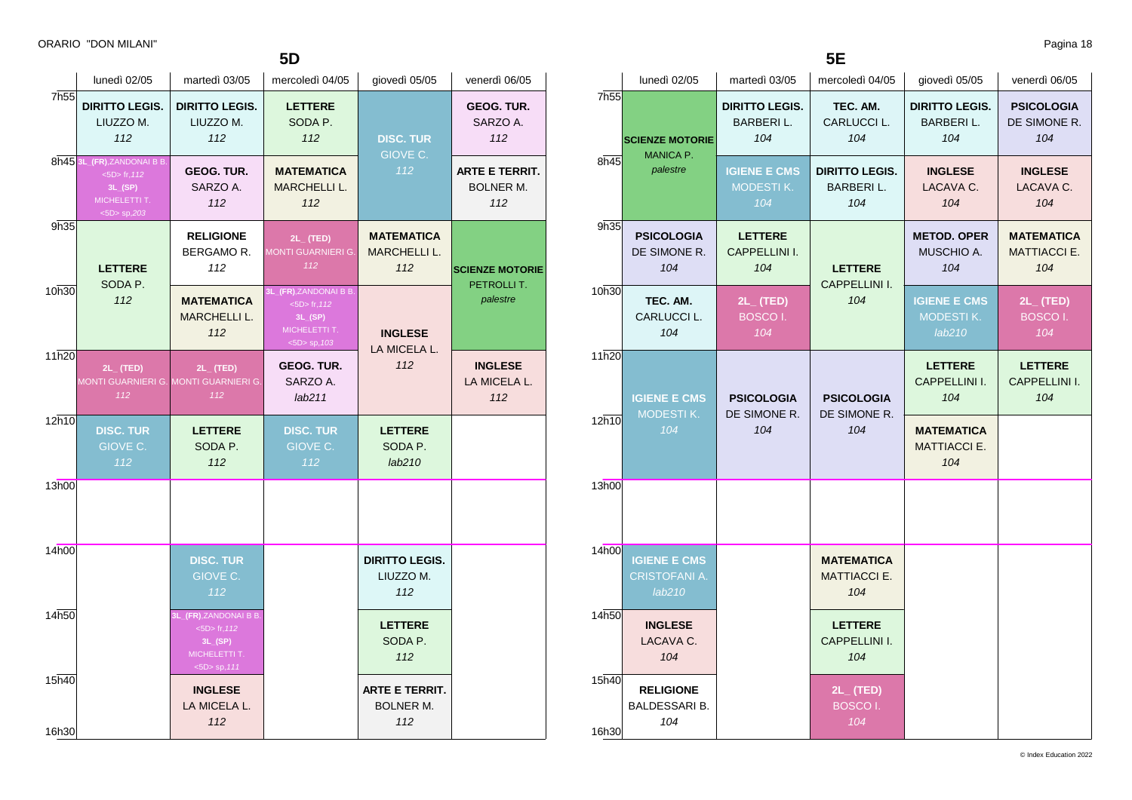|                | 5D                                                                                            |                                                                                              |                                                                                           |                                                  |                                                  |  |  |
|----------------|-----------------------------------------------------------------------------------------------|----------------------------------------------------------------------------------------------|-------------------------------------------------------------------------------------------|--------------------------------------------------|--------------------------------------------------|--|--|
|                | lunedì 02/05                                                                                  | martedì 03/05                                                                                | mercoledì 04/05                                                                           | giovedì 05/05                                    | venerdì 06/05                                    |  |  |
| 7h55           | <b>DIRITTO LEGIS.</b><br>LIUZZO M.<br>112                                                     | <b>DIRITTO LEGIS.</b><br>LIUZZO M.<br>112                                                    | <b>LETTERE</b><br>SODA P.<br>112                                                          | <b>DISC. TUR</b><br>GIOVE C.<br>$\overline{112}$ | GEOG. TUR.<br>SARZO A.<br>112                    |  |  |
|                | 8h45 3L_(FR), ZANDONAI B B<br>$<$ 5D $>$ fr, 112<br>3L(SP)<br>MICHELETTI T.<br>$<$ 5D> sp,203 | GEOG. TUR.<br>SARZO A.<br>112                                                                | <b>MATEMATICA</b><br><b>MARCHELLI L.</b><br>112                                           |                                                  | <b>ARTE E TERRIT.</b><br><b>BOLNER M.</b><br>112 |  |  |
| 9h35           | <b>LETTERE</b><br>SODA P.                                                                     | <b>RELIGIONE</b><br>BERGAMO R.<br>112                                                        | $2L_{-}$ (TED)<br><b>MONTI GUARNIERI G.</b><br>112                                        | <b>MATEMATICA</b><br><b>MARCHELLI L.</b><br>112  | <b>SCIENZE MOTORIE</b><br>PETROLLIT.             |  |  |
| 10h30          | 112                                                                                           | <b>MATEMATICA</b><br><b>MARCHELLI L.</b><br>112                                              | 3L_(FR),ZANDONAI B B.<br>$<$ 5D $>$ fr, 112<br>3L(SP)<br>MICHELETTI T.<br>$<$ 5D> sp, 103 | palestre<br><b>INGLESE</b><br>LA MICELA L.       |                                                  |  |  |
| 11h20          | $2L_{-}$ (TED)<br>MONTI GUARNIERI G. MONTI GUARNIERI G.<br>112                                | $2L_{-}$ (TED)<br>112                                                                        | <b>GEOG. TUR.</b><br>SARZO A.<br>lab211                                                   | 112                                              | <b>INGLESE</b><br>LA MICELA L.<br>112            |  |  |
| 12h10          | <b>DISC. TUR</b><br>GIOVE C.<br>112                                                           | <b>LETTERE</b><br>SODA P.<br>112                                                             | <b>DISC. TUR</b><br>GIOVE C.<br>112                                                       | <b>LETTERE</b><br>SODA P.<br>lab210              |                                                  |  |  |
| 13h00          |                                                                                               |                                                                                              |                                                                                           |                                                  |                                                  |  |  |
| 14h00          |                                                                                               | <b>DISC. TUR</b><br>GIOVE C.<br>112                                                          |                                                                                           | <b>DIRITTO LEGIS.</b><br>LIUZZO M.<br>112        |                                                  |  |  |
| 14h50          |                                                                                               | 3L_(FR),ZANDONAI B B.<br>$<$ 5D $>$ fr, 112<br>3L(SP)<br>MICHELETTI T.<br>$<$ 5D $>$ sp, 111 |                                                                                           | <b>LETTERE</b><br>SODA P.<br>112                 |                                                  |  |  |
| 15h40<br>16h30 |                                                                                               | <b>INGLESE</b><br>LA MICELA L.<br>112                                                        |                                                                                           | <b>ARTE E TERRIT.</b><br><b>BOLNER M.</b><br>112 |                                                  |  |  |

**5E**

|                | lunedì 02/05                                                                       | martedì 03/05                                    | mercoledì 04/05                                  | giovedì 05/05                                     | venerdì 06/05                                   |
|----------------|------------------------------------------------------------------------------------|--------------------------------------------------|--------------------------------------------------|---------------------------------------------------|-------------------------------------------------|
|                | 7h <sub>55</sub><br><b>SCIENZE MOTORIE</b><br><b>MANICA P.</b><br>8h45<br>palestre | <b>DIRITTO LEGIS.</b><br><b>BARBERIL.</b><br>104 | TEC. AM.<br>CARLUCCI L.<br>104                   | <b>DIRITTO LEGIS.</b><br>BARBERI L.<br>104        | <b>PSICOLOGIA</b><br>DE SIMONE R.<br>104        |
|                |                                                                                    | <b>IGIENE E CMS</b><br><b>MODESTIK.</b><br>104   | <b>DIRITTO LEGIS.</b><br><b>BARBERIL.</b><br>104 | <b>INGLESE</b><br>LACAVA C.<br>104                | <b>INGLESE</b><br>LACAVA C.<br>104              |
| 9h35           | <b>PSICOLOGIA</b><br>DE SIMONE R.<br>104                                           | <b>LETTERE</b><br>CAPPELLINI I.<br>104           | <b>LETTERE</b><br><b>CAPPELLINI I.</b><br>104    | <b>METOD. OPER</b><br>MUSCHIO A.<br>104           | <b>MATEMATICA</b><br><b>MATTIACCI E.</b><br>104 |
| 10h30          | TEC. AM.<br>CARLUCCI L.<br>104                                                     | $2L_{-}$ (TED)<br><b>BOSCOI.</b><br>104          |                                                  | <b>IGIENE E CMS</b><br><b>MODESTIK.</b><br>lab210 | $2L_{-}$ (TED)<br>BOSCO I.<br>104               |
| 11h20          | <b>IGIENE E CMS</b><br>MODESTIK.                                                   | <b>PSICOLOGIA</b><br>DE SIMONE R.                | <b>PSICOLOGIA</b><br>DE SIMONE R.                | <b>LETTERE</b><br>CAPPELLINI I.<br>104            | <b>LETTERE</b><br>CAPPELLINI I.<br>104          |
| 12h10          | 104                                                                                | 104                                              | 104                                              | <b>MATEMATICA</b><br><b>MATTIACCI E.</b><br>104   |                                                 |
| 13h00          |                                                                                    |                                                  |                                                  |                                                   |                                                 |
| 14h00          | <b>IGIENE E CMS</b><br><b>CRISTOFANI A.</b><br>lab210                              |                                                  | <b>MATEMATICA</b><br><b>MATTIACCI E.</b><br>104  |                                                   |                                                 |
| 14h50          | <b>INGLESE</b><br>LACAVA C.<br>104                                                 |                                                  | <b>LETTERE</b><br>CAPPELLINI I.<br>104           |                                                   |                                                 |
| 15h40<br>16h30 | <b>RELIGIONE</b><br><b>BALDESSARI B.</b><br>104                                    |                                                  | 2L_(TED)<br><b>BOSCOI.</b><br>104                |                                                   |                                                 |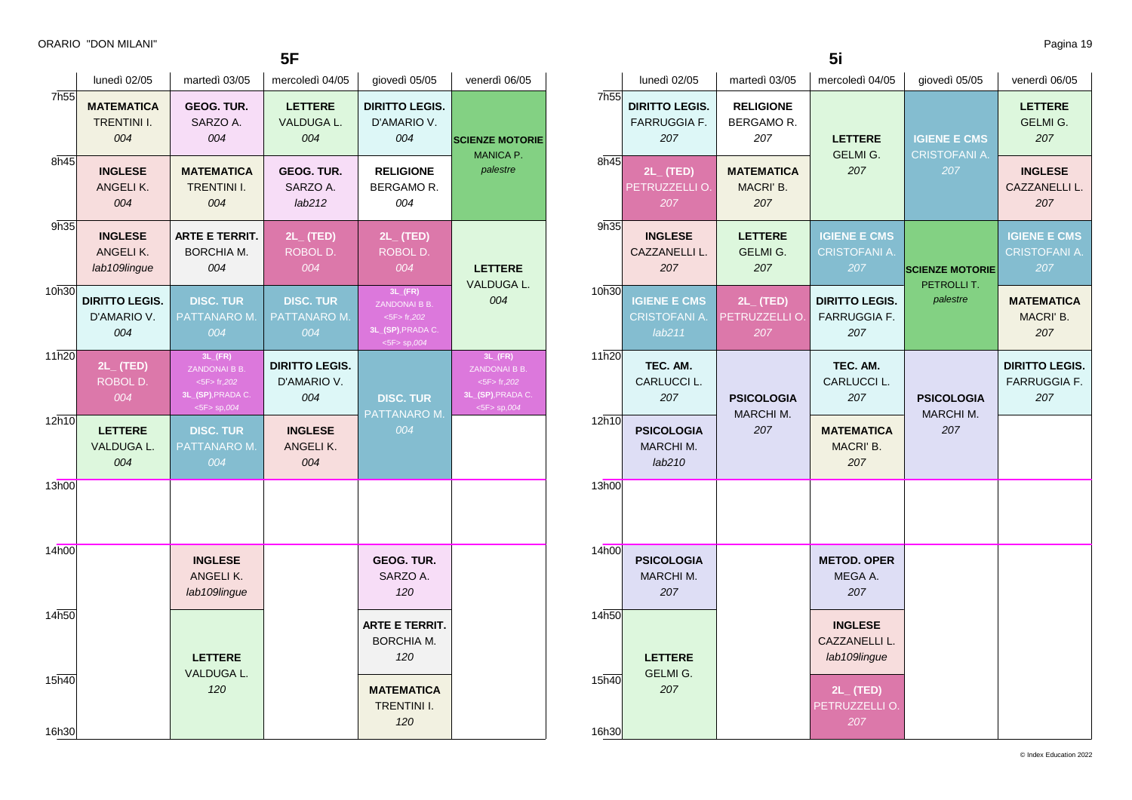**5F**

|                | lunedì 02/05                                   | martedì 03/05                                                                                  | mercoledì 04/05                             | giovedì 05/05                                                                            | venerdì 06/05                                                                                  |
|----------------|------------------------------------------------|------------------------------------------------------------------------------------------------|---------------------------------------------|------------------------------------------------------------------------------------------|------------------------------------------------------------------------------------------------|
| 7h55           | <b>MATEMATICA</b><br><b>TRENTINI I.</b><br>004 | <b>GEOG. TUR.</b><br>SARZO A.<br>004                                                           | <b>LETTERE</b><br>VALDUGA L.<br>004         | <b>DIRITTO LEGIS.</b><br>D'AMARIO V.<br>004                                              | <b>SCIENZE MOTORIE</b><br><b>MANICA P.</b><br>palestre                                         |
| 8h45           | <b>INGLESE</b><br>ANGELIK.<br>004              | MATEMATICA<br><b>TRENTINI I.</b><br>004                                                        | <b>GEOG. TUR.</b><br>SARZO A.<br>lab212     | <b>RELIGIONE</b><br>BERGAMOR.<br>004                                                     |                                                                                                |
| 9h35           | <b>INGLESE</b><br>ANGELIK.<br>lab109lingue     | <b>ARTE E TERRIT.</b><br>BORCHIA M.<br>004                                                     | 2L_ (TED)<br>ROBOL D.<br>004                | $2L_{-}$ (TED)<br>ROBOL D.<br>004                                                        | <b>LETTERE</b>                                                                                 |
| 10h30          | <b>DIRITTO LEGIS.</b><br>D'AMARIO V.<br>004    | <b>DISC. TUR</b><br>PATTANARO M.<br>004                                                        | <b>DISC. TUR</b><br>PATTANARO M.<br>004     | $3L$ <sub>(FR)</sub><br>ZANDONAI B B.<br><5F> fr,202<br>3L_(SP), PRADA C.<br><5F> sp,004 | VALDUGA L.<br>004                                                                              |
| 11h20          | $2L_{-}$ (TED)<br>ROBOL D.<br>004              | $3L$ <sub>(FR)</sub><br>ZANDONAI B B.<br>$<$ 5F $>$ fr,202<br>3L_(SP), PRADA C.<br><5F> sp,004 | <b>DIRITTO LEGIS.</b><br>D'AMARIO V.<br>004 | <b>DISC. TUR</b>                                                                         | $3L$ <sub>(FR)</sub><br>ZANDONAI B B.<br>$<$ 5F $>$ fr,202<br>3L_(SP), PRADA C.<br><5F> sp,004 |
| 12h10          | <b>LETTERE</b><br><b>VALDUGA L.</b><br>004     | <b>DISC. TUR</b><br>PATTANARO M.<br>004                                                        | <b>INGLESE</b><br>ANGELIK.<br>004           | PATTANARO M.<br>004                                                                      |                                                                                                |
| 13h00          |                                                |                                                                                                |                                             |                                                                                          |                                                                                                |
| 14h00          |                                                | <b>INGLESE</b><br>ANGELIK.<br>lab109lingue                                                     |                                             | GEOG. TUR.<br>SARZO A.<br>120                                                            |                                                                                                |
| 14h50          |                                                | <b>LETTERE</b>                                                                                 |                                             | <b>ARTE E TERRIT.</b><br><b>BORCHIA M.</b><br>120                                        |                                                                                                |
| 15h40<br>16h30 |                                                | VALDUGA L.<br>120                                                                              |                                             | <b>MATEMATICA</b><br>TRENTINI I.<br>120                                                  |                                                                                                |

| 7h55           | lunedì 02/05                                          | martedì 03/05                            | mercoledì 04/05                                     | giovedì 05/05                                      | venerdì 06/05                                       |
|----------------|-------------------------------------------------------|------------------------------------------|-----------------------------------------------------|----------------------------------------------------|-----------------------------------------------------|
|                | <b>DIRITTO LEGIS.</b><br><b>FARRUGGIA F.</b><br>207   | <b>RELIGIONE</b><br>BERGAMOR.<br>207     | <b>LETTERE</b><br>GELMI G.<br>207                   | <b>IGIENE E CMS</b><br><b>CRISTOFANI A.</b><br>207 | <b>LETTERE</b><br><b>GELMI G.</b><br>207            |
| 8h45           | $2L_{-}$ (TED)<br>PETRUZZELLI O.<br>207               | <b>MATEMATICA</b><br>MACRI' B.<br>207    |                                                     |                                                    | <b>INGLESE</b><br>CAZZANELLI L.<br>207              |
| 9h35           | <b>INGLESE</b><br>CAZZANELLI L.<br>207                | <b>LETTERE</b><br><b>GELMI G.</b><br>207 | <b>IGIENE E CMS</b><br><b>CRISTOFANI A.</b><br>207  | <b>SCIENZE MOTORIE</b><br>PETROLLI T.              | <b>IGIENE E CMS</b><br><b>CRISTOFANI A.</b><br>207  |
| 10h30          | <b>IGIENE E CMS</b><br><b>CRISTOFANI A.</b><br>lab211 | $2L_{-}$ (TED)<br>PETRUZZELLI O.<br>207  | <b>DIRITTO LEGIS.</b><br><b>FARRUGGIA F.</b><br>207 | palestre                                           | <b>MATEMATICA</b><br>MACRI' B.<br>207               |
| 11h20          | TEC. AM.<br>CARLUCCI L.<br>207                        | <b>PSICOLOGIA</b>                        | TEC. AM.<br>CARLUCCI L.<br>207                      | <b>PSICOLOGIA</b>                                  | <b>DIRITTO LEGIS.</b><br><b>FARRUGGIA F.</b><br>207 |
| 12h10          | <b>PSICOLOGIA</b><br>MARCHI M.<br>lab210              | MARCHI M.<br>207                         | <b>MATEMATICA</b><br>MACRI' B.<br>207               | MARCHI M.<br>207                                   |                                                     |
| 13h00          |                                                       |                                          |                                                     |                                                    |                                                     |
| 14h00          | <b>PSICOLOGIA</b><br>MARCHI M.<br>207                 |                                          | <b>METOD. OPER</b><br>MEGA A.<br>207                |                                                    |                                                     |
| 14h50          | <b>LETTERE</b>                                        |                                          | <b>INGLESE</b><br>CAZZANELLI L.<br>lab109lingue     |                                                    |                                                     |
| 15h40<br>16h30 | <b>GELMI G.</b><br>207                                |                                          | $2L_{-}$ (TED)<br>PETRUZZELLI O.<br>207             |                                                    |                                                     |